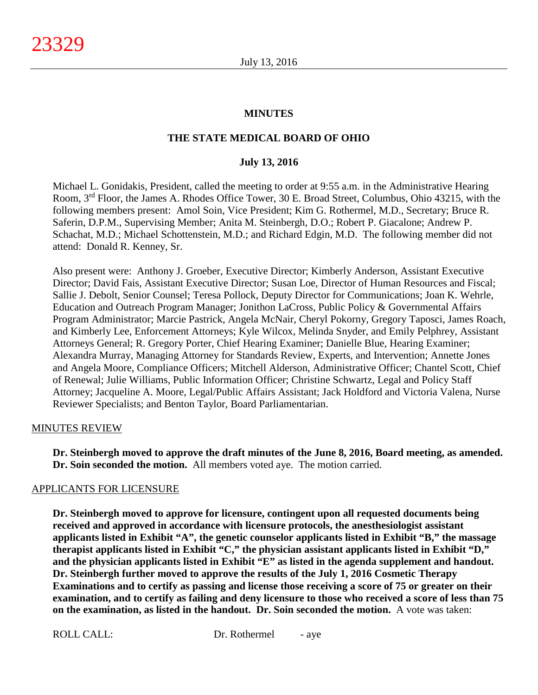#### **MINUTES**

## **THE STATE MEDICAL BOARD OF OHIO**

#### **July 13, 2016**

Michael L. Gonidakis, President, called the meeting to order at 9:55 a.m. in the Administrative Hearing Room, 3rd Floor, the James A. Rhodes Office Tower, 30 E. Broad Street, Columbus, Ohio 43215, with the following members present: Amol Soin, Vice President; Kim G. Rothermel, M.D., Secretary; Bruce R. Saferin, D.P.M., Supervising Member; Anita M. Steinbergh, D.O.; Robert P. Giacalone; Andrew P. Schachat, M.D.; Michael Schottenstein, M.D.; and Richard Edgin, M.D. The following member did not attend: Donald R. Kenney, Sr.

Also present were: Anthony J. Groeber, Executive Director; Kimberly Anderson, Assistant Executive Director; David Fais, Assistant Executive Director; Susan Loe, Director of Human Resources and Fiscal; Sallie J. Debolt, Senior Counsel; Teresa Pollock, Deputy Director for Communications; Joan K. Wehrle, Education and Outreach Program Manager; Jonithon LaCross, Public Policy & Governmental Affairs Program Administrator; Marcie Pastrick, Angela McNair, Cheryl Pokorny, Gregory Taposci, James Roach, and Kimberly Lee, Enforcement Attorneys; Kyle Wilcox, Melinda Snyder, and Emily Pelphrey, Assistant Attorneys General; R. Gregory Porter, Chief Hearing Examiner; Danielle Blue, Hearing Examiner; Alexandra Murray, Managing Attorney for Standards Review, Experts, and Intervention; Annette Jones and Angela Moore, Compliance Officers; Mitchell Alderson, Administrative Officer; Chantel Scott, Chief of Renewal; Julie Williams, Public Information Officer; Christine Schwartz, Legal and Policy Staff Attorney; Jacqueline A. Moore, Legal/Public Affairs Assistant; Jack Holdford and Victoria Valena, Nurse Reviewer Specialists; and Benton Taylor, Board Parliamentarian.

#### MINUTES REVIEW

**Dr. Steinbergh moved to approve the draft minutes of the June 8, 2016, Board meeting, as amended. Dr. Soin seconded the motion.** All members voted aye. The motion carried.

#### APPLICANTS FOR LICENSURE

**Dr. Steinbergh moved to approve for licensure, contingent upon all requested documents being received and approved in accordance with licensure protocols, the anesthesiologist assistant applicants listed in Exhibit "A", the genetic counselor applicants listed in Exhibit "B," the massage therapist applicants listed in Exhibit "C," the physician assistant applicants listed in Exhibit "D," and the physician applicants listed in Exhibit "E" as listed in the agenda supplement and handout. Dr. Steinbergh further moved to approve the results of the July 1, 2016 Cosmetic Therapy Examinations and to certify as passing and license those receiving a score of 75 or greater on their examination, and to certify as failing and deny licensure to those who received a score of less than 75 on the examination, as listed in the handout. Dr. Soin seconded the motion.** A vote was taken: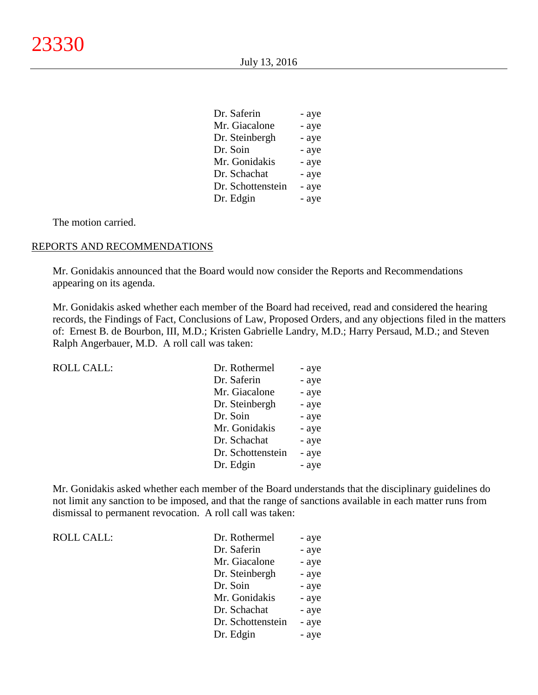| Dr. Saferin       | - aye |
|-------------------|-------|
| Mr. Giacalone     | - aye |
| Dr. Steinbergh    | - aye |
| Dr. Soin          | - aye |
| Mr. Gonidakis     | - aye |
| Dr. Schachat      | - aye |
| Dr. Schottenstein | - aye |
| Dr. Edgin         | - aye |
|                   |       |

The motion carried.

#### REPORTS AND RECOMMENDATIONS

Mr. Gonidakis announced that the Board would now consider the Reports and Recommendations appearing on its agenda.

Mr. Gonidakis asked whether each member of the Board had received, read and considered the hearing records, the Findings of Fact, Conclusions of Law, Proposed Orders, and any objections filed in the matters of: Ernest B. de Bourbon, III, M.D.; Kristen Gabrielle Landry, M.D.; Harry Persaud, M.D.; and Steven Ralph Angerbauer, M.D. A roll call was taken:

| <b>ROLL CALL:</b> | Dr. Rothermel     | - aye |
|-------------------|-------------------|-------|
|                   | Dr. Saferin       | - aye |
|                   | Mr. Giacalone     | - aye |
|                   | Dr. Steinbergh    | - aye |
|                   | Dr. Soin          | - aye |
|                   | Mr. Gonidakis     | - aye |
|                   | Dr. Schachat      | - aye |
|                   | Dr. Schottenstein | - aye |
|                   | Dr. Edgin         | - aye |
|                   |                   |       |

Mr. Gonidakis asked whether each member of the Board understands that the disciplinary guidelines do not limit any sanction to be imposed, and that the range of sanctions available in each matter runs from dismissal to permanent revocation. A roll call was taken:

| <b>ROLL CALL:</b> | Dr. Rothermel     | - aye |
|-------------------|-------------------|-------|
|                   | Dr. Saferin       | - aye |
|                   | Mr. Giacalone     | - aye |
|                   | Dr. Steinbergh    | - aye |
|                   | Dr. Soin          | - aye |
|                   | Mr. Gonidakis     | - aye |
|                   | Dr. Schachat      | - aye |
|                   | Dr. Schottenstein | - aye |
|                   | Dr. Edgin         | - aye |
|                   |                   |       |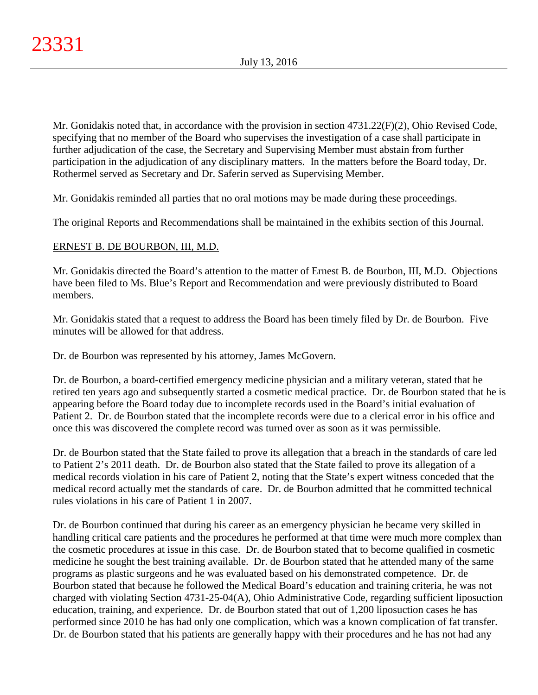Mr. Gonidakis noted that, in accordance with the provision in section 4731.22(F)(2), Ohio Revised Code, specifying that no member of the Board who supervises the investigation of a case shall participate in further adjudication of the case, the Secretary and Supervising Member must abstain from further participation in the adjudication of any disciplinary matters. In the matters before the Board today, Dr. Rothermel served as Secretary and Dr. Saferin served as Supervising Member.

Mr. Gonidakis reminded all parties that no oral motions may be made during these proceedings.

The original Reports and Recommendations shall be maintained in the exhibits section of this Journal.

# ERNEST B. DE BOURBON, III, M.D.

Mr. Gonidakis directed the Board's attention to the matter of Ernest B. de Bourbon, III, M.D. Objections have been filed to Ms. Blue's Report and Recommendation and were previously distributed to Board members.

Mr. Gonidakis stated that a request to address the Board has been timely filed by Dr. de Bourbon. Five minutes will be allowed for that address.

Dr. de Bourbon was represented by his attorney, James McGovern.

Dr. de Bourbon, a board-certified emergency medicine physician and a military veteran, stated that he retired ten years ago and subsequently started a cosmetic medical practice. Dr. de Bourbon stated that he is appearing before the Board today due to incomplete records used in the Board's initial evaluation of Patient 2. Dr. de Bourbon stated that the incomplete records were due to a clerical error in his office and once this was discovered the complete record was turned over as soon as it was permissible.

Dr. de Bourbon stated that the State failed to prove its allegation that a breach in the standards of care led to Patient 2's 2011 death. Dr. de Bourbon also stated that the State failed to prove its allegation of a medical records violation in his care of Patient 2, noting that the State's expert witness conceded that the medical record actually met the standards of care. Dr. de Bourbon admitted that he committed technical rules violations in his care of Patient 1 in 2007.

Dr. de Bourbon continued that during his career as an emergency physician he became very skilled in handling critical care patients and the procedures he performed at that time were much more complex than the cosmetic procedures at issue in this case. Dr. de Bourbon stated that to become qualified in cosmetic medicine he sought the best training available. Dr. de Bourbon stated that he attended many of the same programs as plastic surgeons and he was evaluated based on his demonstrated competence. Dr. de Bourbon stated that because he followed the Medical Board's education and training criteria, he was not charged with violating Section 4731-25-04(A), Ohio Administrative Code, regarding sufficient liposuction education, training, and experience. Dr. de Bourbon stated that out of 1,200 liposuction cases he has performed since 2010 he has had only one complication, which was a known complication of fat transfer. Dr. de Bourbon stated that his patients are generally happy with their procedures and he has not had any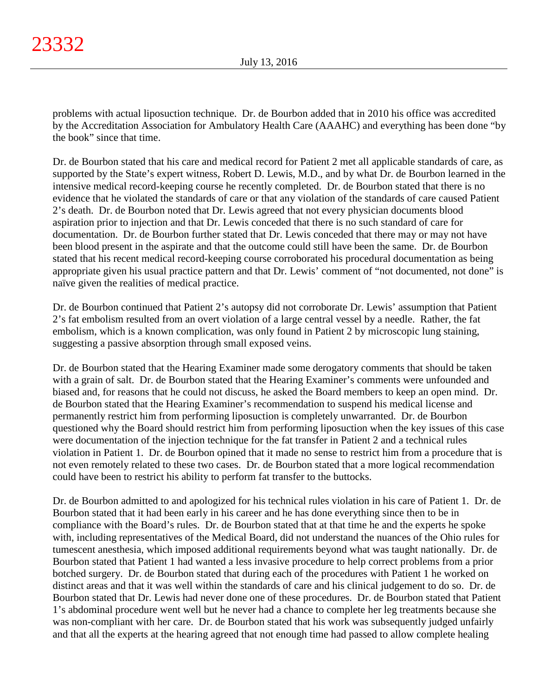problems with actual liposuction technique. Dr. de Bourbon added that in 2010 his office was accredited by the Accreditation Association for Ambulatory Health Care (AAAHC) and everything has been done "by the book" since that time.

Dr. de Bourbon stated that his care and medical record for Patient 2 met all applicable standards of care, as supported by the State's expert witness, Robert D. Lewis, M.D., and by what Dr. de Bourbon learned in the intensive medical record-keeping course he recently completed. Dr. de Bourbon stated that there is no evidence that he violated the standards of care or that any violation of the standards of care caused Patient 2's death. Dr. de Bourbon noted that Dr. Lewis agreed that not every physician documents blood aspiration prior to injection and that Dr. Lewis conceded that there is no such standard of care for documentation. Dr. de Bourbon further stated that Dr. Lewis conceded that there may or may not have been blood present in the aspirate and that the outcome could still have been the same. Dr. de Bourbon stated that his recent medical record-keeping course corroborated his procedural documentation as being appropriate given his usual practice pattern and that Dr. Lewis' comment of "not documented, not done" is naïve given the realities of medical practice.

Dr. de Bourbon continued that Patient 2's autopsy did not corroborate Dr. Lewis' assumption that Patient 2's fat embolism resulted from an overt violation of a large central vessel by a needle. Rather, the fat embolism, which is a known complication, was only found in Patient 2 by microscopic lung staining, suggesting a passive absorption through small exposed veins.

Dr. de Bourbon stated that the Hearing Examiner made some derogatory comments that should be taken with a grain of salt. Dr. de Bourbon stated that the Hearing Examiner's comments were unfounded and biased and, for reasons that he could not discuss, he asked the Board members to keep an open mind. Dr. de Bourbon stated that the Hearing Examiner's recommendation to suspend his medical license and permanently restrict him from performing liposuction is completely unwarranted. Dr. de Bourbon questioned why the Board should restrict him from performing liposuction when the key issues of this case were documentation of the injection technique for the fat transfer in Patient 2 and a technical rules violation in Patient 1. Dr. de Bourbon opined that it made no sense to restrict him from a procedure that is not even remotely related to these two cases. Dr. de Bourbon stated that a more logical recommendation could have been to restrict his ability to perform fat transfer to the buttocks.

Dr. de Bourbon admitted to and apologized for his technical rules violation in his care of Patient 1. Dr. de Bourbon stated that it had been early in his career and he has done everything since then to be in compliance with the Board's rules. Dr. de Bourbon stated that at that time he and the experts he spoke with, including representatives of the Medical Board, did not understand the nuances of the Ohio rules for tumescent anesthesia, which imposed additional requirements beyond what was taught nationally. Dr. de Bourbon stated that Patient 1 had wanted a less invasive procedure to help correct problems from a prior botched surgery. Dr. de Bourbon stated that during each of the procedures with Patient 1 he worked on distinct areas and that it was well within the standards of care and his clinical judgement to do so. Dr. de Bourbon stated that Dr. Lewis had never done one of these procedures. Dr. de Bourbon stated that Patient 1's abdominal procedure went well but he never had a chance to complete her leg treatments because she was non-compliant with her care. Dr. de Bourbon stated that his work was subsequently judged unfairly and that all the experts at the hearing agreed that not enough time had passed to allow complete healing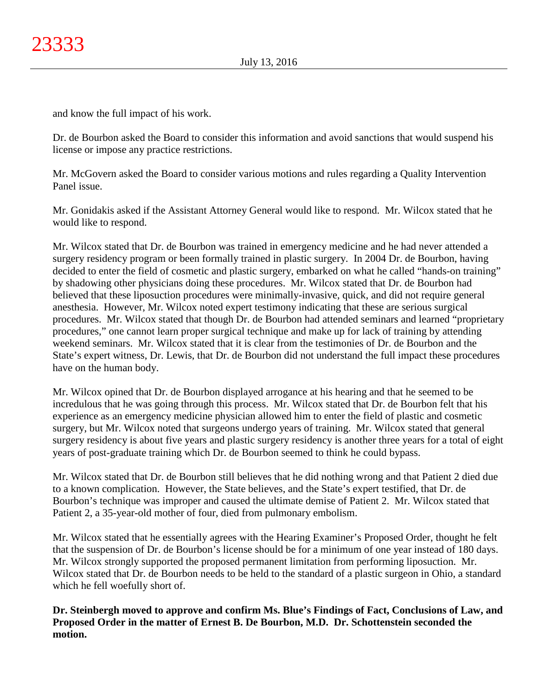and know the full impact of his work.

Dr. de Bourbon asked the Board to consider this information and avoid sanctions that would suspend his license or impose any practice restrictions.

Mr. McGovern asked the Board to consider various motions and rules regarding a Quality Intervention Panel issue.

Mr. Gonidakis asked if the Assistant Attorney General would like to respond. Mr. Wilcox stated that he would like to respond.

Mr. Wilcox stated that Dr. de Bourbon was trained in emergency medicine and he had never attended a surgery residency program or been formally trained in plastic surgery. In 2004 Dr. de Bourbon, having decided to enter the field of cosmetic and plastic surgery, embarked on what he called "hands-on training" by shadowing other physicians doing these procedures. Mr. Wilcox stated that Dr. de Bourbon had believed that these liposuction procedures were minimally-invasive, quick, and did not require general anesthesia. However, Mr. Wilcox noted expert testimony indicating that these are serious surgical procedures. Mr. Wilcox stated that though Dr. de Bourbon had attended seminars and learned "proprietary procedures," one cannot learn proper surgical technique and make up for lack of training by attending weekend seminars. Mr. Wilcox stated that it is clear from the testimonies of Dr. de Bourbon and the State's expert witness, Dr. Lewis, that Dr. de Bourbon did not understand the full impact these procedures have on the human body.

Mr. Wilcox opined that Dr. de Bourbon displayed arrogance at his hearing and that he seemed to be incredulous that he was going through this process. Mr. Wilcox stated that Dr. de Bourbon felt that his experience as an emergency medicine physician allowed him to enter the field of plastic and cosmetic surgery, but Mr. Wilcox noted that surgeons undergo years of training. Mr. Wilcox stated that general surgery residency is about five years and plastic surgery residency is another three years for a total of eight years of post-graduate training which Dr. de Bourbon seemed to think he could bypass.

Mr. Wilcox stated that Dr. de Bourbon still believes that he did nothing wrong and that Patient 2 died due to a known complication. However, the State believes, and the State's expert testified, that Dr. de Bourbon's technique was improper and caused the ultimate demise of Patient 2. Mr. Wilcox stated that Patient 2, a 35-year-old mother of four, died from pulmonary embolism.

Mr. Wilcox stated that he essentially agrees with the Hearing Examiner's Proposed Order, thought he felt that the suspension of Dr. de Bourbon's license should be for a minimum of one year instead of 180 days. Mr. Wilcox strongly supported the proposed permanent limitation from performing liposuction. Mr. Wilcox stated that Dr. de Bourbon needs to be held to the standard of a plastic surgeon in Ohio, a standard which he fell woefully short of.

**Dr. Steinbergh moved to approve and confirm Ms. Blue's Findings of Fact, Conclusions of Law, and Proposed Order in the matter of Ernest B. De Bourbon, M.D. Dr. Schottenstein seconded the motion.**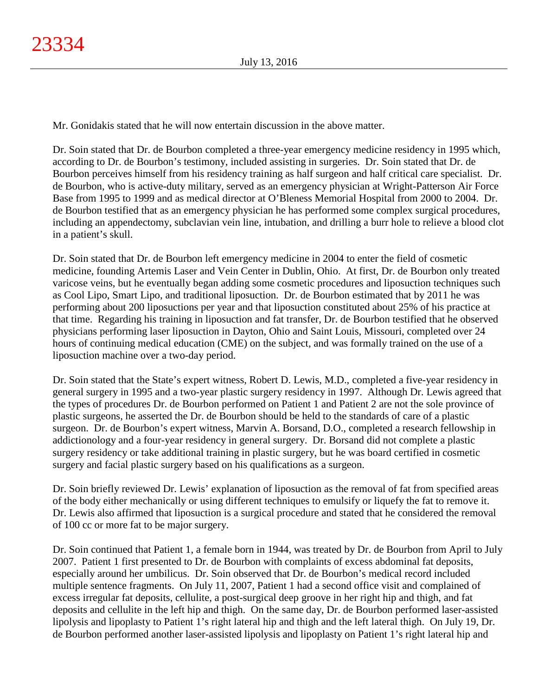Mr. Gonidakis stated that he will now entertain discussion in the above matter.

Dr. Soin stated that Dr. de Bourbon completed a three-year emergency medicine residency in 1995 which, according to Dr. de Bourbon's testimony, included assisting in surgeries. Dr. Soin stated that Dr. de Bourbon perceives himself from his residency training as half surgeon and half critical care specialist. Dr. de Bourbon, who is active-duty military, served as an emergency physician at Wright-Patterson Air Force Base from 1995 to 1999 and as medical director at O'Bleness Memorial Hospital from 2000 to 2004. Dr. de Bourbon testified that as an emergency physician he has performed some complex surgical procedures, including an appendectomy, subclavian vein line, intubation, and drilling a burr hole to relieve a blood clot in a patient's skull.

Dr. Soin stated that Dr. de Bourbon left emergency medicine in 2004 to enter the field of cosmetic medicine, founding Artemis Laser and Vein Center in Dublin, Ohio. At first, Dr. de Bourbon only treated varicose veins, but he eventually began adding some cosmetic procedures and liposuction techniques such as Cool Lipo, Smart Lipo, and traditional liposuction. Dr. de Bourbon estimated that by 2011 he was performing about 200 liposuctions per year and that liposuction constituted about 25% of his practice at that time. Regarding his training in liposuction and fat transfer, Dr. de Bourbon testified that he observed physicians performing laser liposuction in Dayton, Ohio and Saint Louis, Missouri, completed over 24 hours of continuing medical education (CME) on the subject, and was formally trained on the use of a liposuction machine over a two-day period.

Dr. Soin stated that the State's expert witness, Robert D. Lewis, M.D., completed a five-year residency in general surgery in 1995 and a two-year plastic surgery residency in 1997. Although Dr. Lewis agreed that the types of procedures Dr. de Bourbon performed on Patient 1 and Patient 2 are not the sole province of plastic surgeons, he asserted the Dr. de Bourbon should be held to the standards of care of a plastic surgeon. Dr. de Bourbon's expert witness, Marvin A. Borsand, D.O., completed a research fellowship in addictionology and a four-year residency in general surgery. Dr. Borsand did not complete a plastic surgery residency or take additional training in plastic surgery, but he was board certified in cosmetic surgery and facial plastic surgery based on his qualifications as a surgeon.

Dr. Soin briefly reviewed Dr. Lewis' explanation of liposuction as the removal of fat from specified areas of the body either mechanically or using different techniques to emulsify or liquefy the fat to remove it. Dr. Lewis also affirmed that liposuction is a surgical procedure and stated that he considered the removal of 100 cc or more fat to be major surgery.

Dr. Soin continued that Patient 1, a female born in 1944, was treated by Dr. de Bourbon from April to July 2007. Patient 1 first presented to Dr. de Bourbon with complaints of excess abdominal fat deposits, especially around her umbilicus. Dr. Soin observed that Dr. de Bourbon's medical record included multiple sentence fragments. On July 11, 2007, Patient 1 had a second office visit and complained of excess irregular fat deposits, cellulite, a post-surgical deep groove in her right hip and thigh, and fat deposits and cellulite in the left hip and thigh. On the same day, Dr. de Bourbon performed laser-assisted lipolysis and lipoplasty to Patient 1's right lateral hip and thigh and the left lateral thigh. On July 19, Dr. de Bourbon performed another laser-assisted lipolysis and lipoplasty on Patient 1's right lateral hip and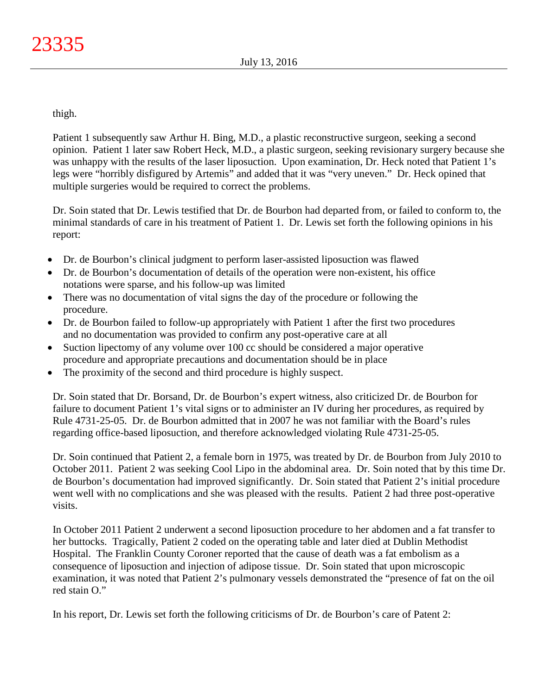thigh.

Patient 1 subsequently saw Arthur H. Bing, M.D., a plastic reconstructive surgeon, seeking a second opinion. Patient 1 later saw Robert Heck, M.D., a plastic surgeon, seeking revisionary surgery because she was unhappy with the results of the laser liposuction. Upon examination, Dr. Heck noted that Patient 1's legs were "horribly disfigured by Artemis" and added that it was "very uneven." Dr. Heck opined that multiple surgeries would be required to correct the problems.

Dr. Soin stated that Dr. Lewis testified that Dr. de Bourbon had departed from, or failed to conform to, the minimal standards of care in his treatment of Patient 1. Dr. Lewis set forth the following opinions in his report:

- Dr. de Bourbon's clinical judgment to perform laser-assisted liposuction was flawed
- Dr. de Bourbon's documentation of details of the operation were non-existent, his office notations were sparse, and his follow-up was limited
- There was no documentation of vital signs the day of the procedure or following the procedure.
- Dr. de Bourbon failed to follow-up appropriately with Patient 1 after the first two procedures and no documentation was provided to confirm any post-operative care at all
- Suction lipectomy of any volume over 100 cc should be considered a major operative procedure and appropriate precautions and documentation should be in place
- The proximity of the second and third procedure is highly suspect.

Dr. Soin stated that Dr. Borsand, Dr. de Bourbon's expert witness, also criticized Dr. de Bourbon for failure to document Patient 1's vital signs or to administer an IV during her procedures, as required by Rule 4731-25-05. Dr. de Bourbon admitted that in 2007 he was not familiar with the Board's rules regarding office-based liposuction, and therefore acknowledged violating Rule 4731-25-05.

Dr. Soin continued that Patient 2, a female born in 1975, was treated by Dr. de Bourbon from July 2010 to October 2011. Patient 2 was seeking Cool Lipo in the abdominal area. Dr. Soin noted that by this time Dr. de Bourbon's documentation had improved significantly. Dr. Soin stated that Patient 2's initial procedure went well with no complications and she was pleased with the results. Patient 2 had three post-operative visits.

In October 2011 Patient 2 underwent a second liposuction procedure to her abdomen and a fat transfer to her buttocks. Tragically, Patient 2 coded on the operating table and later died at Dublin Methodist Hospital. The Franklin County Coroner reported that the cause of death was a fat embolism as a consequence of liposuction and injection of adipose tissue. Dr. Soin stated that upon microscopic examination, it was noted that Patient 2's pulmonary vessels demonstrated the "presence of fat on the oil red stain O."

In his report, Dr. Lewis set forth the following criticisms of Dr. de Bourbon's care of Patent 2: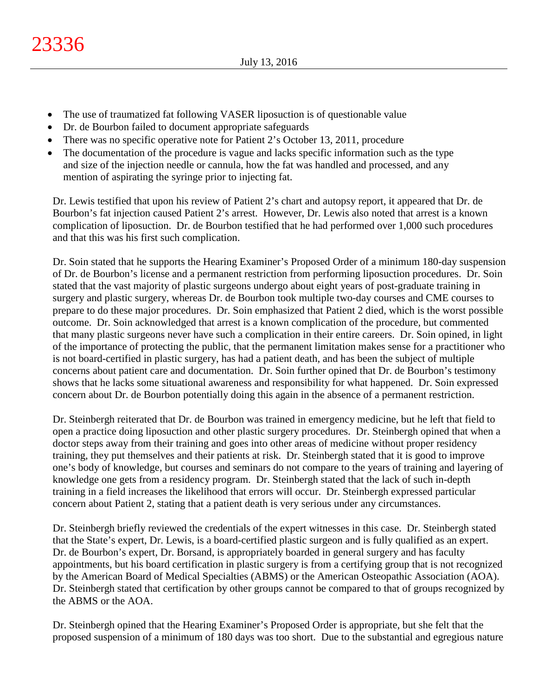- The use of traumatized fat following VASER liposuction is of questionable value
- Dr. de Bourbon failed to document appropriate safeguards
- There was no specific operative note for Patient 2's October 13, 2011, procedure
- The documentation of the procedure is vague and lacks specific information such as the type and size of the injection needle or cannula, how the fat was handled and processed, and any mention of aspirating the syringe prior to injecting fat.

Dr. Lewis testified that upon his review of Patient 2's chart and autopsy report, it appeared that Dr. de Bourbon's fat injection caused Patient 2's arrest. However, Dr. Lewis also noted that arrest is a known complication of liposuction. Dr. de Bourbon testified that he had performed over 1,000 such procedures and that this was his first such complication.

Dr. Soin stated that he supports the Hearing Examiner's Proposed Order of a minimum 180-day suspension of Dr. de Bourbon's license and a permanent restriction from performing liposuction procedures. Dr. Soin stated that the vast majority of plastic surgeons undergo about eight years of post-graduate training in surgery and plastic surgery, whereas Dr. de Bourbon took multiple two-day courses and CME courses to prepare to do these major procedures. Dr. Soin emphasized that Patient 2 died, which is the worst possible outcome. Dr. Soin acknowledged that arrest is a known complication of the procedure, but commented that many plastic surgeons never have such a complication in their entire careers. Dr. Soin opined, in light of the importance of protecting the public, that the permanent limitation makes sense for a practitioner who is not board-certified in plastic surgery, has had a patient death, and has been the subject of multiple concerns about patient care and documentation. Dr. Soin further opined that Dr. de Bourbon's testimony shows that he lacks some situational awareness and responsibility for what happened. Dr. Soin expressed concern about Dr. de Bourbon potentially doing this again in the absence of a permanent restriction.

Dr. Steinbergh reiterated that Dr. de Bourbon was trained in emergency medicine, but he left that field to open a practice doing liposuction and other plastic surgery procedures. Dr. Steinbergh opined that when a doctor steps away from their training and goes into other areas of medicine without proper residency training, they put themselves and their patients at risk. Dr. Steinbergh stated that it is good to improve one's body of knowledge, but courses and seminars do not compare to the years of training and layering of knowledge one gets from a residency program. Dr. Steinbergh stated that the lack of such in-depth training in a field increases the likelihood that errors will occur. Dr. Steinbergh expressed particular concern about Patient 2, stating that a patient death is very serious under any circumstances.

Dr. Steinbergh briefly reviewed the credentials of the expert witnesses in this case. Dr. Steinbergh stated that the State's expert, Dr. Lewis, is a board-certified plastic surgeon and is fully qualified as an expert. Dr. de Bourbon's expert, Dr. Borsand, is appropriately boarded in general surgery and has faculty appointments, but his board certification in plastic surgery is from a certifying group that is not recognized by the American Board of Medical Specialties (ABMS) or the American Osteopathic Association (AOA). Dr. Steinbergh stated that certification by other groups cannot be compared to that of groups recognized by the ABMS or the AOA.

Dr. Steinbergh opined that the Hearing Examiner's Proposed Order is appropriate, but she felt that the proposed suspension of a minimum of 180 days was too short. Due to the substantial and egregious nature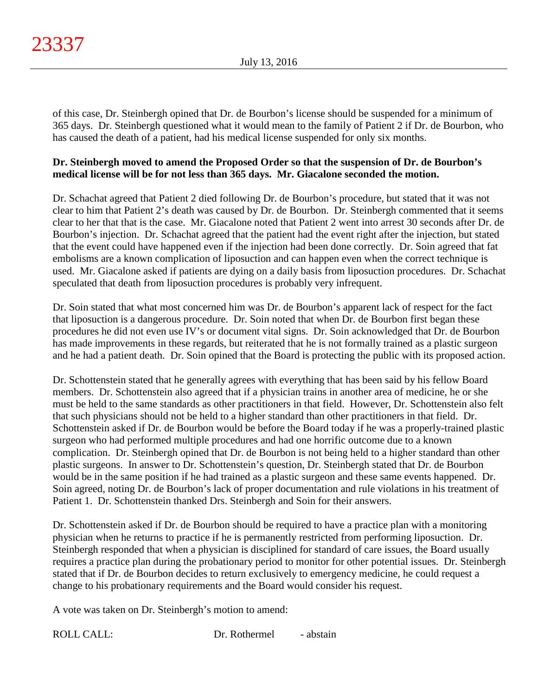of this case, Dr. Steinbergh opined that Dr. de Bourbon's license should be suspended for a minimum of 365 days. Dr. Steinbergh questioned what it would mean to the family of Patient 2 if Dr. de Bourbon, who has caused the death of a patient, had his medical license suspended for only six months.

# **Dr. Steinbergh moved to amend the Proposed Order so that the suspension of Dr. de Bourbon's medical license will be for not less than 365 days. Mr. Giacalone seconded the motion.**

Dr. Schachat agreed that Patient 2 died following Dr. de Bourbon's procedure, but stated that it was not clear to him that Patient 2's death was caused by Dr. de Bourbon. Dr. Steinbergh commented that it seems clear to her that that is the case. Mr. Giacalone noted that Patient 2 went into arrest 30 seconds after Dr. de Bourbon's injection. Dr. Schachat agreed that the patient had the event right after the injection, but stated that the event could have happened even if the injection had been done correctly. Dr. Soin agreed that fat embolisms are a known complication of liposuction and can happen even when the correct technique is used. Mr. Giacalone asked if patients are dying on a daily basis from liposuction procedures. Dr. Schachat speculated that death from liposuction procedures is probably very infrequent.

Dr. Soin stated that what most concerned him was Dr. de Bourbon's apparent lack of respect for the fact that liposuction is a dangerous procedure. Dr. Soin noted that when Dr. de Bourbon first began these procedures he did not even use IV's or document vital signs. Dr. Soin acknowledged that Dr. de Bourbon has made improvements in these regards, but reiterated that he is not formally trained as a plastic surgeon and he had a patient death. Dr. Soin opined that the Board is protecting the public with its proposed action.

Dr. Schottenstein stated that he generally agrees with everything that has been said by his fellow Board members. Dr. Schottenstein also agreed that if a physician trains in another area of medicine, he or she must be held to the same standards as other practitioners in that field. However, Dr. Schottenstein also felt that such physicians should not be held to a higher standard than other practitioners in that field. Dr. Schottenstein asked if Dr. de Bourbon would be before the Board today if he was a properly-trained plastic surgeon who had performed multiple procedures and had one horrific outcome due to a known complication. Dr. Steinbergh opined that Dr. de Bourbon is not being held to a higher standard than other plastic surgeons. In answer to Dr. Schottenstein's question, Dr. Steinbergh stated that Dr. de Bourbon would be in the same position if he had trained as a plastic surgeon and these same events happened. Dr. Soin agreed, noting Dr. de Bourbon's lack of proper documentation and rule violations in his treatment of Patient 1. Dr. Schottenstein thanked Drs. Steinbergh and Soin for their answers.

Dr. Schottenstein asked if Dr. de Bourbon should be required to have a practice plan with a monitoring physician when he returns to practice if he is permanently restricted from performing liposuction. Dr. Steinbergh responded that when a physician is disciplined for standard of care issues, the Board usually requires a practice plan during the probationary period to monitor for other potential issues. Dr. Steinbergh stated that if Dr. de Bourbon decides to return exclusively to emergency medicine, he could request a change to his probationary requirements and the Board would consider his request.

A vote was taken on Dr. Steinbergh's motion to amend: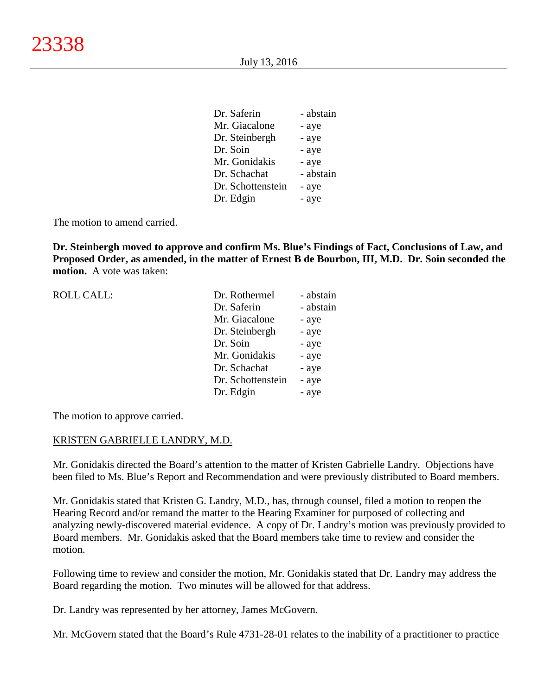| Dr. Saferin       | - abstain |
|-------------------|-----------|
| Mr. Giacalone     | - aye     |
| Dr. Steinbergh    | - aye     |
| Dr. Soin          | - aye     |
| Mr. Gonidakis     | - aye     |
| Dr. Schachat      | - abstain |
| Dr. Schottenstein | - aye     |
| Dr. Edgin         | - aye     |
|                   |           |

The motion to amend carried.

**Dr. Steinbergh moved to approve and confirm Ms. Blue's Findings of Fact, Conclusions of Law, and Proposed Order, as amended, in the matter of Ernest B de Bourbon, III, M.D. Dr. Soin seconded the motion.** A vote was taken:

| <b>ROLL CALL:</b> | Dr. Rothermel     | - abstain |
|-------------------|-------------------|-----------|
|                   | Dr. Saferin       | - abstain |
|                   | Mr. Giacalone     | - aye     |
|                   | Dr. Steinbergh    | - aye     |
|                   | Dr. Soin          | - aye     |
|                   | Mr. Gonidakis     | - aye     |
|                   | Dr. Schachat      | - aye     |
|                   | Dr. Schottenstein | - aye     |
|                   | Dr. Edgin         | - aye     |
|                   |                   |           |

The motion to approve carried.

#### KRISTEN GABRIELLE LANDRY, M.D.

Mr. Gonidakis directed the Board's attention to the matter of Kristen Gabrielle Landry. Objections have been filed to Ms. Blue's Report and Recommendation and were previously distributed to Board members.

Mr. Gonidakis stated that Kristen G. Landry, M.D., has, through counsel, filed a motion to reopen the Hearing Record and/or remand the matter to the Hearing Examiner for purposed of collecting and analyzing newly-discovered material evidence. A copy of Dr. Landry's motion was previously provided to Board members. Mr. Gonidakis asked that the Board members take time to review and consider the motion.

Following time to review and consider the motion, Mr. Gonidakis stated that Dr. Landry may address the Board regarding the motion. Two minutes will be allowed for that address.

Dr. Landry was represented by her attorney, James McGovern.

Mr. McGovern stated that the Board's Rule 4731-28-01 relates to the inability of a practitioner to practice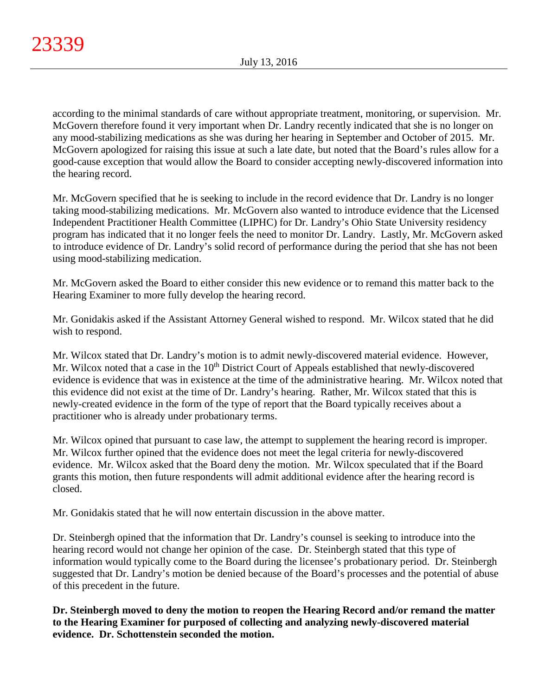according to the minimal standards of care without appropriate treatment, monitoring, or supervision. Mr. McGovern therefore found it very important when Dr. Landry recently indicated that she is no longer on any mood-stabilizing medications as she was during her hearing in September and October of 2015. Mr. McGovern apologized for raising this issue at such a late date, but noted that the Board's rules allow for a good-cause exception that would allow the Board to consider accepting newly-discovered information into the hearing record.

Mr. McGovern specified that he is seeking to include in the record evidence that Dr. Landry is no longer taking mood-stabilizing medications. Mr. McGovern also wanted to introduce evidence that the Licensed Independent Practitioner Health Committee (LIPHC) for Dr. Landry's Ohio State University residency program has indicated that it no longer feels the need to monitor Dr. Landry. Lastly, Mr. McGovern asked to introduce evidence of Dr. Landry's solid record of performance during the period that she has not been using mood-stabilizing medication.

Mr. McGovern asked the Board to either consider this new evidence or to remand this matter back to the Hearing Examiner to more fully develop the hearing record.

Mr. Gonidakis asked if the Assistant Attorney General wished to respond. Mr. Wilcox stated that he did wish to respond.

Mr. Wilcox stated that Dr. Landry's motion is to admit newly-discovered material evidence. However, Mr. Wilcox noted that a case in the  $10<sup>th</sup>$  District Court of Appeals established that newly-discovered evidence is evidence that was in existence at the time of the administrative hearing. Mr. Wilcox noted that this evidence did not exist at the time of Dr. Landry's hearing. Rather, Mr. Wilcox stated that this is newly-created evidence in the form of the type of report that the Board typically receives about a practitioner who is already under probationary terms.

Mr. Wilcox opined that pursuant to case law, the attempt to supplement the hearing record is improper. Mr. Wilcox further opined that the evidence does not meet the legal criteria for newly-discovered evidence. Mr. Wilcox asked that the Board deny the motion. Mr. Wilcox speculated that if the Board grants this motion, then future respondents will admit additional evidence after the hearing record is closed.

Mr. Gonidakis stated that he will now entertain discussion in the above matter.

Dr. Steinbergh opined that the information that Dr. Landry's counsel is seeking to introduce into the hearing record would not change her opinion of the case. Dr. Steinbergh stated that this type of information would typically come to the Board during the licensee's probationary period. Dr. Steinbergh suggested that Dr. Landry's motion be denied because of the Board's processes and the potential of abuse of this precedent in the future.

**Dr. Steinbergh moved to deny the motion to reopen the Hearing Record and/or remand the matter to the Hearing Examiner for purposed of collecting and analyzing newly-discovered material evidence. Dr. Schottenstein seconded the motion.**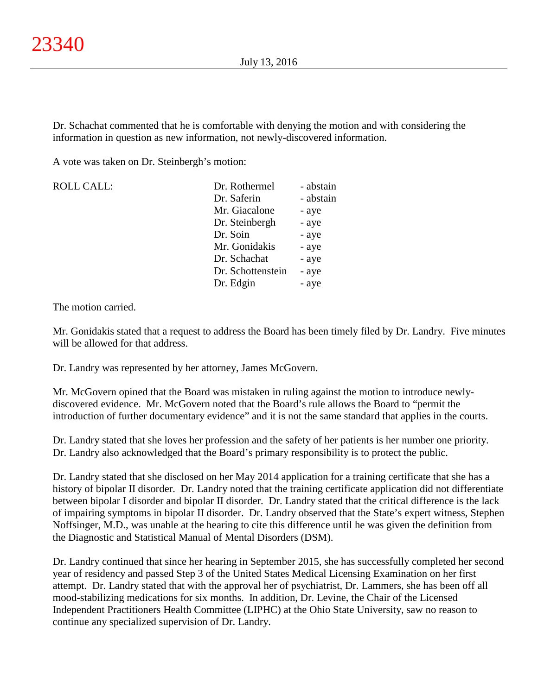Dr. Schachat commented that he is comfortable with denying the motion and with considering the information in question as new information, not newly-discovered information.

A vote was taken on Dr. Steinbergh's motion:

| <b>ROLL CALL:</b> | Dr. Rothermel     | - abstain |
|-------------------|-------------------|-----------|
|                   | Dr. Saferin       | - abstain |
|                   | Mr. Giacalone     | - aye     |
|                   | Dr. Steinbergh    | - aye     |
|                   | Dr. Soin          | - aye     |
|                   | Mr. Gonidakis     | - aye     |
|                   | Dr. Schachat      | - aye     |
|                   | Dr. Schottenstein | - aye     |
|                   | Dr. Edgin         | - aye     |

The motion carried.

Mr. Gonidakis stated that a request to address the Board has been timely filed by Dr. Landry. Five minutes will be allowed for that address.

Dr. Landry was represented by her attorney, James McGovern.

Mr. McGovern opined that the Board was mistaken in ruling against the motion to introduce newlydiscovered evidence. Mr. McGovern noted that the Board's rule allows the Board to "permit the introduction of further documentary evidence" and it is not the same standard that applies in the courts.

Dr. Landry stated that she loves her profession and the safety of her patients is her number one priority. Dr. Landry also acknowledged that the Board's primary responsibility is to protect the public.

Dr. Landry stated that she disclosed on her May 2014 application for a training certificate that she has a history of bipolar II disorder. Dr. Landry noted that the training certificate application did not differentiate between bipolar I disorder and bipolar II disorder. Dr. Landry stated that the critical difference is the lack of impairing symptoms in bipolar II disorder. Dr. Landry observed that the State's expert witness, Stephen Noffsinger, M.D., was unable at the hearing to cite this difference until he was given the definition from the Diagnostic and Statistical Manual of Mental Disorders (DSM).

Dr. Landry continued that since her hearing in September 2015, she has successfully completed her second year of residency and passed Step 3 of the United States Medical Licensing Examination on her first attempt. Dr. Landry stated that with the approval her of psychiatrist, Dr. Lammers, she has been off all mood-stabilizing medications for six months. In addition, Dr. Levine, the Chair of the Licensed Independent Practitioners Health Committee (LIPHC) at the Ohio State University, saw no reason to continue any specialized supervision of Dr. Landry.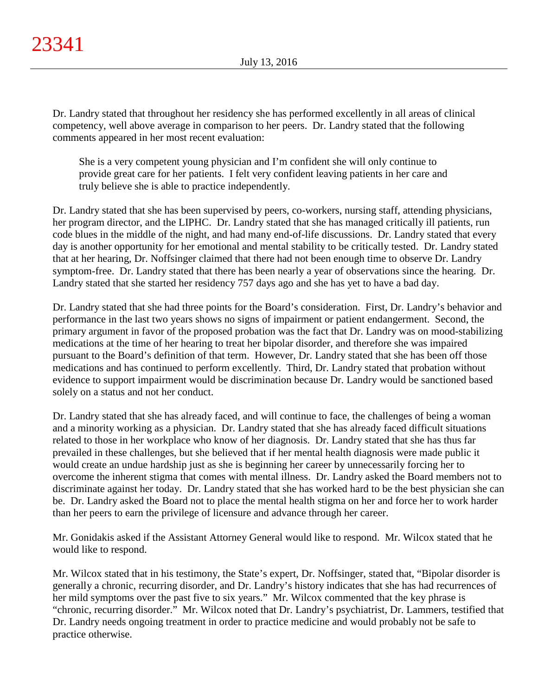Dr. Landry stated that throughout her residency she has performed excellently in all areas of clinical competency, well above average in comparison to her peers. Dr. Landry stated that the following comments appeared in her most recent evaluation:

She is a very competent young physician and I'm confident she will only continue to provide great care for her patients. I felt very confident leaving patients in her care and truly believe she is able to practice independently.

Dr. Landry stated that she has been supervised by peers, co-workers, nursing staff, attending physicians, her program director, and the LIPHC. Dr. Landry stated that she has managed critically ill patients, run code blues in the middle of the night, and had many end-of-life discussions. Dr. Landry stated that every day is another opportunity for her emotional and mental stability to be critically tested. Dr. Landry stated that at her hearing, Dr. Noffsinger claimed that there had not been enough time to observe Dr. Landry symptom-free. Dr. Landry stated that there has been nearly a year of observations since the hearing. Dr. Landry stated that she started her residency 757 days ago and she has yet to have a bad day.

Dr. Landry stated that she had three points for the Board's consideration. First, Dr. Landry's behavior and performance in the last two years shows no signs of impairment or patient endangerment. Second, the primary argument in favor of the proposed probation was the fact that Dr. Landry was on mood-stabilizing medications at the time of her hearing to treat her bipolar disorder, and therefore she was impaired pursuant to the Board's definition of that term. However, Dr. Landry stated that she has been off those medications and has continued to perform excellently. Third, Dr. Landry stated that probation without evidence to support impairment would be discrimination because Dr. Landry would be sanctioned based solely on a status and not her conduct.

Dr. Landry stated that she has already faced, and will continue to face, the challenges of being a woman and a minority working as a physician. Dr. Landry stated that she has already faced difficult situations related to those in her workplace who know of her diagnosis. Dr. Landry stated that she has thus far prevailed in these challenges, but she believed that if her mental health diagnosis were made public it would create an undue hardship just as she is beginning her career by unnecessarily forcing her to overcome the inherent stigma that comes with mental illness. Dr. Landry asked the Board members not to discriminate against her today. Dr. Landry stated that she has worked hard to be the best physician she can be. Dr. Landry asked the Board not to place the mental health stigma on her and force her to work harder than her peers to earn the privilege of licensure and advance through her career.

Mr. Gonidakis asked if the Assistant Attorney General would like to respond. Mr. Wilcox stated that he would like to respond.

Mr. Wilcox stated that in his testimony, the State's expert, Dr. Noffsinger, stated that, "Bipolar disorder is generally a chronic, recurring disorder, and Dr. Landry's history indicates that she has had recurrences of her mild symptoms over the past five to six years." Mr. Wilcox commented that the key phrase is "chronic, recurring disorder." Mr. Wilcox noted that Dr. Landry's psychiatrist, Dr. Lammers, testified that Dr. Landry needs ongoing treatment in order to practice medicine and would probably not be safe to practice otherwise.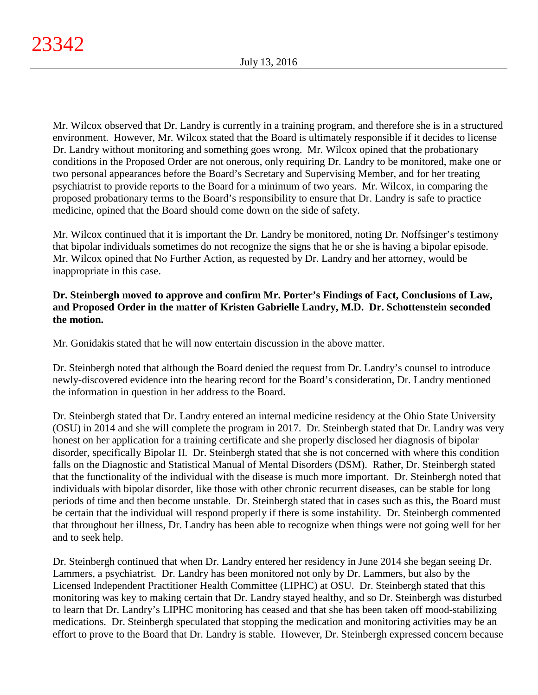Mr. Wilcox observed that Dr. Landry is currently in a training program, and therefore she is in a structured environment. However, Mr. Wilcox stated that the Board is ultimately responsible if it decides to license Dr. Landry without monitoring and something goes wrong. Mr. Wilcox opined that the probationary conditions in the Proposed Order are not onerous, only requiring Dr. Landry to be monitored, make one or two personal appearances before the Board's Secretary and Supervising Member, and for her treating psychiatrist to provide reports to the Board for a minimum of two years. Mr. Wilcox, in comparing the proposed probationary terms to the Board's responsibility to ensure that Dr. Landry is safe to practice medicine, opined that the Board should come down on the side of safety.

Mr. Wilcox continued that it is important the Dr. Landry be monitored, noting Dr. Noffsinger's testimony that bipolar individuals sometimes do not recognize the signs that he or she is having a bipolar episode. Mr. Wilcox opined that No Further Action, as requested by Dr. Landry and her attorney, would be inappropriate in this case.

# **Dr. Steinbergh moved to approve and confirm Mr. Porter's Findings of Fact, Conclusions of Law, and Proposed Order in the matter of Kristen Gabrielle Landry, M.D. Dr. Schottenstein seconded the motion.**

Mr. Gonidakis stated that he will now entertain discussion in the above matter.

Dr. Steinbergh noted that although the Board denied the request from Dr. Landry's counsel to introduce newly-discovered evidence into the hearing record for the Board's consideration, Dr. Landry mentioned the information in question in her address to the Board.

Dr. Steinbergh stated that Dr. Landry entered an internal medicine residency at the Ohio State University (OSU) in 2014 and she will complete the program in 2017. Dr. Steinbergh stated that Dr. Landry was very honest on her application for a training certificate and she properly disclosed her diagnosis of bipolar disorder, specifically Bipolar II. Dr. Steinbergh stated that she is not concerned with where this condition falls on the Diagnostic and Statistical Manual of Mental Disorders (DSM). Rather, Dr. Steinbergh stated that the functionality of the individual with the disease is much more important. Dr. Steinbergh noted that individuals with bipolar disorder, like those with other chronic recurrent diseases, can be stable for long periods of time and then become unstable. Dr. Steinbergh stated that in cases such as this, the Board must be certain that the individual will respond properly if there is some instability. Dr. Steinbergh commented that throughout her illness, Dr. Landry has been able to recognize when things were not going well for her and to seek help.

Dr. Steinbergh continued that when Dr. Landry entered her residency in June 2014 she began seeing Dr. Lammers, a psychiatrist. Dr. Landry has been monitored not only by Dr. Lammers, but also by the Licensed Independent Practitioner Health Committee (LIPHC) at OSU. Dr. Steinbergh stated that this monitoring was key to making certain that Dr. Landry stayed healthy, and so Dr. Steinbergh was disturbed to learn that Dr. Landry's LIPHC monitoring has ceased and that she has been taken off mood-stabilizing medications. Dr. Steinbergh speculated that stopping the medication and monitoring activities may be an effort to prove to the Board that Dr. Landry is stable. However, Dr. Steinbergh expressed concern because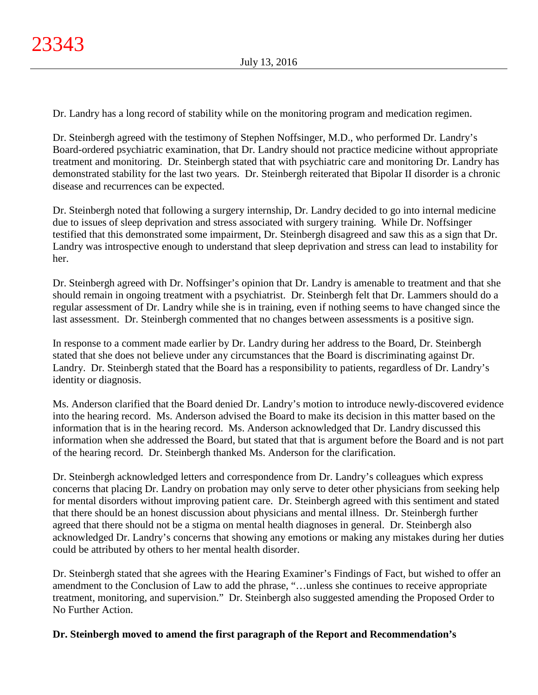Dr. Landry has a long record of stability while on the monitoring program and medication regimen.

Dr. Steinbergh agreed with the testimony of Stephen Noffsinger, M.D., who performed Dr. Landry's Board-ordered psychiatric examination, that Dr. Landry should not practice medicine without appropriate treatment and monitoring. Dr. Steinbergh stated that with psychiatric care and monitoring Dr. Landry has demonstrated stability for the last two years. Dr. Steinbergh reiterated that Bipolar II disorder is a chronic disease and recurrences can be expected.

Dr. Steinbergh noted that following a surgery internship, Dr. Landry decided to go into internal medicine due to issues of sleep deprivation and stress associated with surgery training. While Dr. Noffsinger testified that this demonstrated some impairment, Dr. Steinbergh disagreed and saw this as a sign that Dr. Landry was introspective enough to understand that sleep deprivation and stress can lead to instability for her.

Dr. Steinbergh agreed with Dr. Noffsinger's opinion that Dr. Landry is amenable to treatment and that she should remain in ongoing treatment with a psychiatrist. Dr. Steinbergh felt that Dr. Lammers should do a regular assessment of Dr. Landry while she is in training, even if nothing seems to have changed since the last assessment. Dr. Steinbergh commented that no changes between assessments is a positive sign.

In response to a comment made earlier by Dr. Landry during her address to the Board, Dr. Steinbergh stated that she does not believe under any circumstances that the Board is discriminating against Dr. Landry. Dr. Steinbergh stated that the Board has a responsibility to patients, regardless of Dr. Landry's identity or diagnosis.

Ms. Anderson clarified that the Board denied Dr. Landry's motion to introduce newly-discovered evidence into the hearing record. Ms. Anderson advised the Board to make its decision in this matter based on the information that is in the hearing record. Ms. Anderson acknowledged that Dr. Landry discussed this information when she addressed the Board, but stated that that is argument before the Board and is not part of the hearing record. Dr. Steinbergh thanked Ms. Anderson for the clarification.

Dr. Steinbergh acknowledged letters and correspondence from Dr. Landry's colleagues which express concerns that placing Dr. Landry on probation may only serve to deter other physicians from seeking help for mental disorders without improving patient care. Dr. Steinbergh agreed with this sentiment and stated that there should be an honest discussion about physicians and mental illness. Dr. Steinbergh further agreed that there should not be a stigma on mental health diagnoses in general. Dr. Steinbergh also acknowledged Dr. Landry's concerns that showing any emotions or making any mistakes during her duties could be attributed by others to her mental health disorder.

Dr. Steinbergh stated that she agrees with the Hearing Examiner's Findings of Fact, but wished to offer an amendment to the Conclusion of Law to add the phrase, "…unless she continues to receive appropriate treatment, monitoring, and supervision." Dr. Steinbergh also suggested amending the Proposed Order to No Further Action.

## **Dr. Steinbergh moved to amend the first paragraph of the Report and Recommendation's**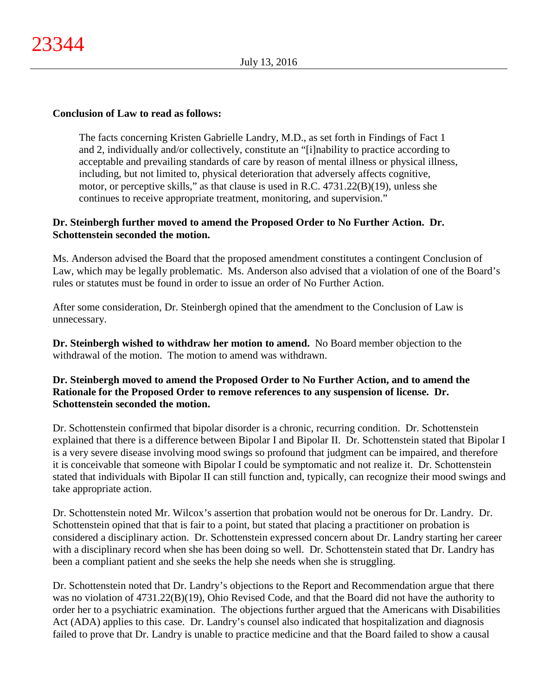#### **Conclusion of Law to read as follows:**

The facts concerning Kristen Gabrielle Landry, M.D., as set forth in Findings of Fact 1 and 2, individually and/or collectively, constitute an "[i]nability to practice according to acceptable and prevailing standards of care by reason of mental illness or physical illness, including, but not limited to, physical deterioration that adversely affects cognitive, motor, or perceptive skills," as that clause is used in R.C. 4731.22(B)(19), unless she continues to receive appropriate treatment, monitoring, and supervision."

## **Dr. Steinbergh further moved to amend the Proposed Order to No Further Action. Dr. Schottenstein seconded the motion.**

Ms. Anderson advised the Board that the proposed amendment constitutes a contingent Conclusion of Law, which may be legally problematic. Ms. Anderson also advised that a violation of one of the Board's rules or statutes must be found in order to issue an order of No Further Action.

After some consideration, Dr. Steinbergh opined that the amendment to the Conclusion of Law is unnecessary.

**Dr. Steinbergh wished to withdraw her motion to amend.** No Board member objection to the withdrawal of the motion. The motion to amend was withdrawn.

# **Dr. Steinbergh moved to amend the Proposed Order to No Further Action, and to amend the Rationale for the Proposed Order to remove references to any suspension of license. Dr. Schottenstein seconded the motion.**

Dr. Schottenstein confirmed that bipolar disorder is a chronic, recurring condition. Dr. Schottenstein explained that there is a difference between Bipolar I and Bipolar II. Dr. Schottenstein stated that Bipolar I is a very severe disease involving mood swings so profound that judgment can be impaired, and therefore it is conceivable that someone with Bipolar I could be symptomatic and not realize it. Dr. Schottenstein stated that individuals with Bipolar II can still function and, typically, can recognize their mood swings and take appropriate action.

Dr. Schottenstein noted Mr. Wilcox's assertion that probation would not be onerous for Dr. Landry. Dr. Schottenstein opined that that is fair to a point, but stated that placing a practitioner on probation is considered a disciplinary action. Dr. Schottenstein expressed concern about Dr. Landry starting her career with a disciplinary record when she has been doing so well. Dr. Schottenstein stated that Dr. Landry has been a compliant patient and she seeks the help she needs when she is struggling.

Dr. Schottenstein noted that Dr. Landry's objections to the Report and Recommendation argue that there was no violation of 4731.22(B)(19), Ohio Revised Code, and that the Board did not have the authority to order her to a psychiatric examination. The objections further argued that the Americans with Disabilities Act (ADA) applies to this case. Dr. Landry's counsel also indicated that hospitalization and diagnosis failed to prove that Dr. Landry is unable to practice medicine and that the Board failed to show a causal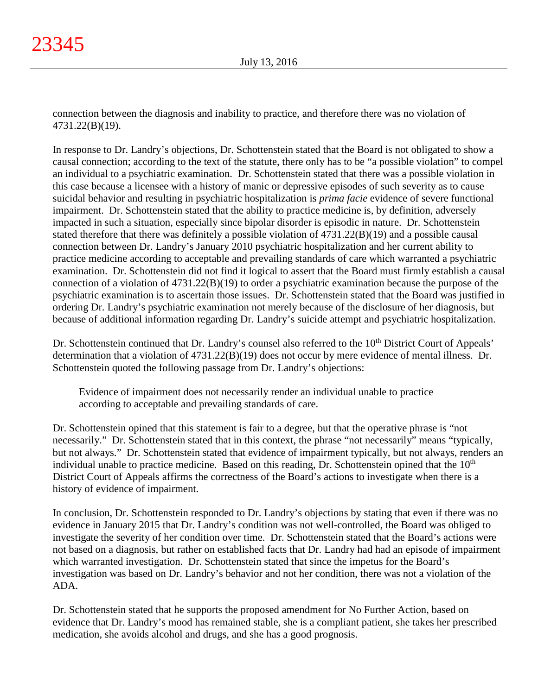connection between the diagnosis and inability to practice, and therefore there was no violation of 4731.22(B)(19).

In response to Dr. Landry's objections, Dr. Schottenstein stated that the Board is not obligated to show a causal connection; according to the text of the statute, there only has to be "a possible violation" to compel an individual to a psychiatric examination. Dr. Schottenstein stated that there was a possible violation in this case because a licensee with a history of manic or depressive episodes of such severity as to cause suicidal behavior and resulting in psychiatric hospitalization is *prima facie* evidence of severe functional impairment. Dr. Schottenstein stated that the ability to practice medicine is, by definition, adversely impacted in such a situation, especially since bipolar disorder is episodic in nature. Dr. Schottenstein stated therefore that there was definitely a possible violation of 4731.22(B)(19) and a possible causal connection between Dr. Landry's January 2010 psychiatric hospitalization and her current ability to practice medicine according to acceptable and prevailing standards of care which warranted a psychiatric examination. Dr. Schottenstein did not find it logical to assert that the Board must firmly establish a causal connection of a violation of 4731.22(B)(19) to order a psychiatric examination because the purpose of the psychiatric examination is to ascertain those issues. Dr. Schottenstein stated that the Board was justified in ordering Dr. Landry's psychiatric examination not merely because of the disclosure of her diagnosis, but because of additional information regarding Dr. Landry's suicide attempt and psychiatric hospitalization.

Dr. Schottenstein continued that Dr. Landry's counsel also referred to the 10<sup>th</sup> District Court of Appeals' determination that a violation of 4731.22(B)(19) does not occur by mere evidence of mental illness. Dr. Schottenstein quoted the following passage from Dr. Landry's objections:

Evidence of impairment does not necessarily render an individual unable to practice according to acceptable and prevailing standards of care.

Dr. Schottenstein opined that this statement is fair to a degree, but that the operative phrase is "not necessarily." Dr. Schottenstein stated that in this context, the phrase "not necessarily" means "typically, but not always." Dr. Schottenstein stated that evidence of impairment typically, but not always, renders an individual unable to practice medicine. Based on this reading, Dr. Schottenstein opined that the  $10<sup>th</sup>$ District Court of Appeals affirms the correctness of the Board's actions to investigate when there is a history of evidence of impairment.

In conclusion, Dr. Schottenstein responded to Dr. Landry's objections by stating that even if there was no evidence in January 2015 that Dr. Landry's condition was not well-controlled, the Board was obliged to investigate the severity of her condition over time. Dr. Schottenstein stated that the Board's actions were not based on a diagnosis, but rather on established facts that Dr. Landry had had an episode of impairment which warranted investigation. Dr. Schottenstein stated that since the impetus for the Board's investigation was based on Dr. Landry's behavior and not her condition, there was not a violation of the ADA.

Dr. Schottenstein stated that he supports the proposed amendment for No Further Action, based on evidence that Dr. Landry's mood has remained stable, she is a compliant patient, she takes her prescribed medication, she avoids alcohol and drugs, and she has a good prognosis.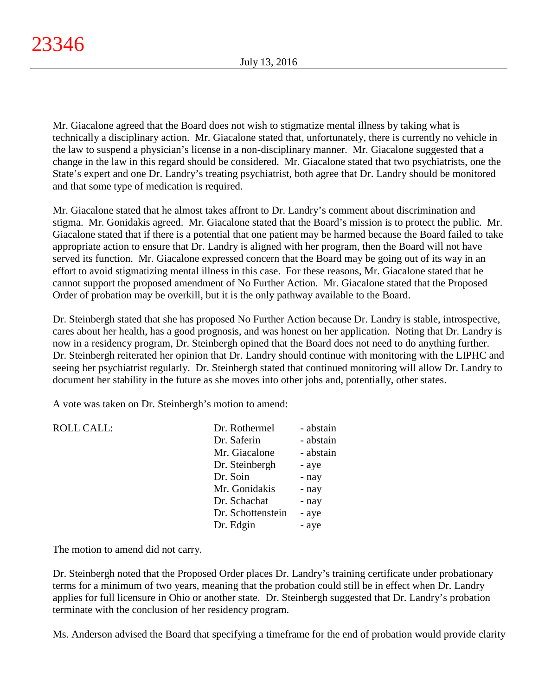Mr. Giacalone agreed that the Board does not wish to stigmatize mental illness by taking what is technically a disciplinary action. Mr. Giacalone stated that, unfortunately, there is currently no vehicle in the law to suspend a physician's license in a non-disciplinary manner. Mr. Giacalone suggested that a change in the law in this regard should be considered. Mr. Giacalone stated that two psychiatrists, one the State's expert and one Dr. Landry's treating psychiatrist, both agree that Dr. Landry should be monitored and that some type of medication is required.

Mr. Giacalone stated that he almost takes affront to Dr. Landry's comment about discrimination and stigma. Mr. Gonidakis agreed. Mr. Giacalone stated that the Board's mission is to protect the public. Mr. Giacalone stated that if there is a potential that one patient may be harmed because the Board failed to take appropriate action to ensure that Dr. Landry is aligned with her program, then the Board will not have served its function. Mr. Giacalone expressed concern that the Board may be going out of its way in an effort to avoid stigmatizing mental illness in this case. For these reasons, Mr. Giacalone stated that he cannot support the proposed amendment of No Further Action. Mr. Giacalone stated that the Proposed Order of probation may be overkill, but it is the only pathway available to the Board.

Dr. Steinbergh stated that she has proposed No Further Action because Dr. Landry is stable, introspective, cares about her health, has a good prognosis, and was honest on her application. Noting that Dr. Landry is now in a residency program, Dr. Steinbergh opined that the Board does not need to do anything further. Dr. Steinbergh reiterated her opinion that Dr. Landry should continue with monitoring with the LIPHC and seeing her psychiatrist regularly. Dr. Steinbergh stated that continued monitoring will allow Dr. Landry to document her stability in the future as she moves into other jobs and, potentially, other states.

A vote was taken on Dr. Steinbergh's motion to amend:

| <b>ROLL CALL:</b> | Dr. Rothermel     | - abstain |
|-------------------|-------------------|-----------|
|                   | Dr. Saferin       | - abstain |
|                   | Mr. Giacalone     | - abstain |
|                   | Dr. Steinbergh    | - aye     |
|                   | Dr. Soin          | - nay     |
|                   | Mr. Gonidakis     | - nay     |
|                   | Dr. Schachat      | - nay     |
|                   | Dr. Schottenstein | - aye     |
|                   | Dr. Edgin         | - aye     |
|                   |                   |           |

The motion to amend did not carry.

Dr. Steinbergh noted that the Proposed Order places Dr. Landry's training certificate under probationary terms for a minimum of two years, meaning that the probation could still be in effect when Dr. Landry applies for full licensure in Ohio or another state. Dr. Steinbergh suggested that Dr. Landry's probation terminate with the conclusion of her residency program.

Ms. Anderson advised the Board that specifying a timeframe for the end of probation would provide clarity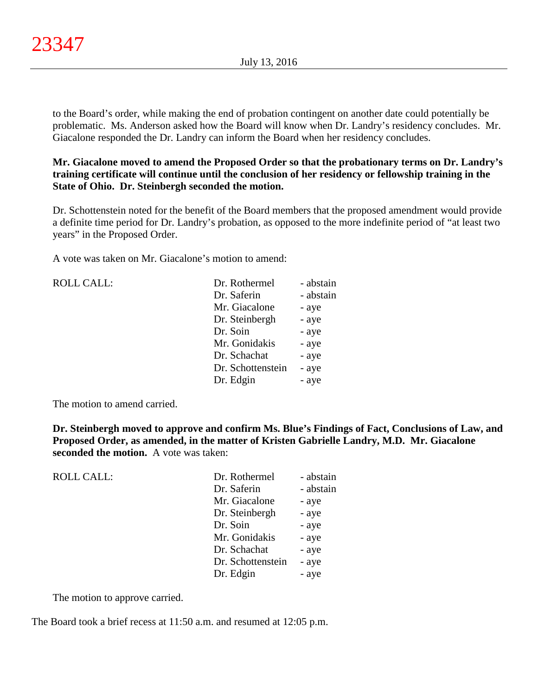to the Board's order, while making the end of probation contingent on another date could potentially be problematic. Ms. Anderson asked how the Board will know when Dr. Landry's residency concludes. Mr. Giacalone responded the Dr. Landry can inform the Board when her residency concludes.

**Mr. Giacalone moved to amend the Proposed Order so that the probationary terms on Dr. Landry's training certificate will continue until the conclusion of her residency or fellowship training in the State of Ohio. Dr. Steinbergh seconded the motion.**

Dr. Schottenstein noted for the benefit of the Board members that the proposed amendment would provide a definite time period for Dr. Landry's probation, as opposed to the more indefinite period of "at least two years" in the Proposed Order.

A vote was taken on Mr. Giacalone's motion to amend:

| <b>ROLL CALL:</b> | Dr. Rothermel     | - abstain |
|-------------------|-------------------|-----------|
|                   | Dr. Saferin       | - abstain |
|                   | Mr. Giacalone     | - aye     |
|                   | Dr. Steinbergh    | - aye     |
|                   | Dr. Soin          | - aye     |
|                   | Mr. Gonidakis     | - aye     |
|                   | Dr. Schachat      | - aye     |
|                   | Dr. Schottenstein | - aye     |
|                   | Dr. Edgin         | - aye     |
|                   |                   |           |

The motion to amend carried.

**Dr. Steinbergh moved to approve and confirm Ms. Blue's Findings of Fact, Conclusions of Law, and Proposed Order, as amended, in the matter of Kristen Gabrielle Landry, M.D. Mr. Giacalone seconded the motion.** A vote was taken:

| <b>ROLL CALL:</b> | Dr. Rothermel     | - abstain |
|-------------------|-------------------|-----------|
|                   | Dr. Saferin       | - abstain |
|                   | Mr. Giacalone     | - aye     |
|                   | Dr. Steinbergh    | - aye     |
|                   | Dr. Soin          | - aye     |
|                   | Mr. Gonidakis     | - aye     |
|                   | Dr. Schachat      | - aye     |
|                   | Dr. Schottenstein | - aye     |
|                   | Dr. Edgin         | - aye     |
|                   |                   |           |

The motion to approve carried.

The Board took a brief recess at 11:50 a.m. and resumed at 12:05 p.m.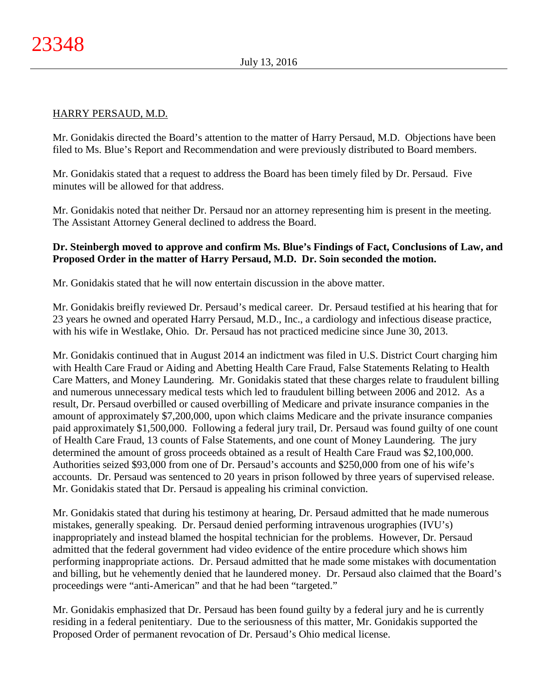## HARRY PERSAUD, M.D.

Mr. Gonidakis directed the Board's attention to the matter of Harry Persaud, M.D. Objections have been filed to Ms. Blue's Report and Recommendation and were previously distributed to Board members.

Mr. Gonidakis stated that a request to address the Board has been timely filed by Dr. Persaud. Five minutes will be allowed for that address.

Mr. Gonidakis noted that neither Dr. Persaud nor an attorney representing him is present in the meeting. The Assistant Attorney General declined to address the Board.

# **Dr. Steinbergh moved to approve and confirm Ms. Blue's Findings of Fact, Conclusions of Law, and Proposed Order in the matter of Harry Persaud, M.D. Dr. Soin seconded the motion.**

Mr. Gonidakis stated that he will now entertain discussion in the above matter.

Mr. Gonidakis breifly reviewed Dr. Persaud's medical career. Dr. Persaud testified at his hearing that for 23 years he owned and operated Harry Persaud, M.D., Inc., a cardiology and infectious disease practice, with his wife in Westlake, Ohio. Dr. Persaud has not practiced medicine since June 30, 2013.

Mr. Gonidakis continued that in August 2014 an indictment was filed in U.S. District Court charging him with Health Care Fraud or Aiding and Abetting Health Care Fraud, False Statements Relating to Health Care Matters, and Money Laundering. Mr. Gonidakis stated that these charges relate to fraudulent billing and numerous unnecessary medical tests which led to fraudulent billing between 2006 and 2012. As a result, Dr. Persaud overbilled or caused overbilling of Medicare and private insurance companies in the amount of approximately \$7,200,000, upon which claims Medicare and the private insurance companies paid approximately \$1,500,000. Following a federal jury trail, Dr. Persaud was found guilty of one count of Health Care Fraud, 13 counts of False Statements, and one count of Money Laundering. The jury determined the amount of gross proceeds obtained as a result of Health Care Fraud was \$2,100,000. Authorities seized \$93,000 from one of Dr. Persaud's accounts and \$250,000 from one of his wife's accounts. Dr. Persaud was sentenced to 20 years in prison followed by three years of supervised release. Mr. Gonidakis stated that Dr. Persaud is appealing his criminal conviction.

Mr. Gonidakis stated that during his testimony at hearing, Dr. Persaud admitted that he made numerous mistakes, generally speaking. Dr. Persaud denied performing intravenous urographies (IVU's) inappropriately and instead blamed the hospital technician for the problems. However, Dr. Persaud admitted that the federal government had video evidence of the entire procedure which shows him performing inappropriate actions. Dr. Persaud admitted that he made some mistakes with documentation and billing, but he vehemently denied that he laundered money. Dr. Persaud also claimed that the Board's proceedings were "anti-American" and that he had been "targeted."

Mr. Gonidakis emphasized that Dr. Persaud has been found guilty by a federal jury and he is currently residing in a federal penitentiary. Due to the seriousness of this matter, Mr. Gonidakis supported the Proposed Order of permanent revocation of Dr. Persaud's Ohio medical license.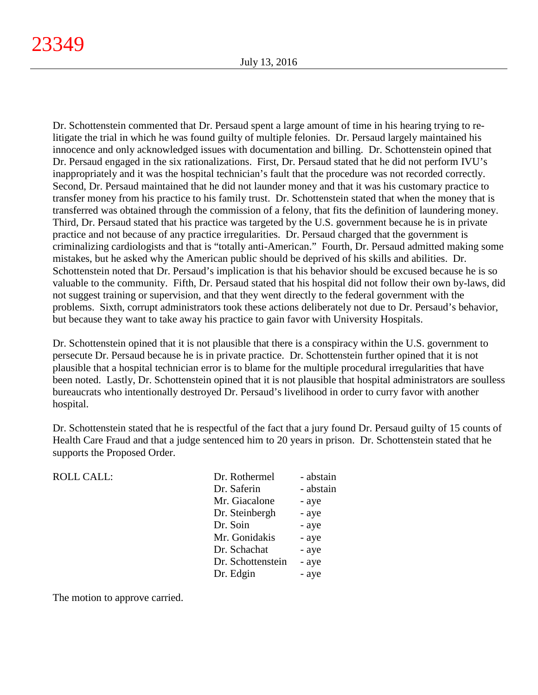Dr. Schottenstein commented that Dr. Persaud spent a large amount of time in his hearing trying to relitigate the trial in which he was found guilty of multiple felonies. Dr. Persaud largely maintained his innocence and only acknowledged issues with documentation and billing. Dr. Schottenstein opined that Dr. Persaud engaged in the six rationalizations. First, Dr. Persaud stated that he did not perform IVU's inappropriately and it was the hospital technician's fault that the procedure was not recorded correctly. Second, Dr. Persaud maintained that he did not launder money and that it was his customary practice to transfer money from his practice to his family trust. Dr. Schottenstein stated that when the money that is transferred was obtained through the commission of a felony, that fits the definition of laundering money. Third, Dr. Persaud stated that his practice was targeted by the U.S. government because he is in private practice and not because of any practice irregularities. Dr. Persaud charged that the government is criminalizing cardiologists and that is "totally anti-American." Fourth, Dr. Persaud admitted making some mistakes, but he asked why the American public should be deprived of his skills and abilities. Dr. Schottenstein noted that Dr. Persaud's implication is that his behavior should be excused because he is so valuable to the community. Fifth, Dr. Persaud stated that his hospital did not follow their own by-laws, did not suggest training or supervision, and that they went directly to the federal government with the problems. Sixth, corrupt administrators took these actions deliberately not due to Dr. Persaud's behavior, but because they want to take away his practice to gain favor with University Hospitals.

Dr. Schottenstein opined that it is not plausible that there is a conspiracy within the U.S. government to persecute Dr. Persaud because he is in private practice. Dr. Schottenstein further opined that it is not plausible that a hospital technician error is to blame for the multiple procedural irregularities that have been noted. Lastly, Dr. Schottenstein opined that it is not plausible that hospital administrators are soulless bureaucrats who intentionally destroyed Dr. Persaud's livelihood in order to curry favor with another hospital.

Dr. Schottenstein stated that he is respectful of the fact that a jury found Dr. Persaud guilty of 15 counts of Health Care Fraud and that a judge sentenced him to 20 years in prison. Dr. Schottenstein stated that he supports the Proposed Order.

| Dr. Rothermel     | - abstain |
|-------------------|-----------|
| Dr. Saferin       | - abstain |
| Mr. Giacalone     | - aye     |
| Dr. Steinbergh    | - aye     |
| Dr. Soin          | - aye     |
| Mr. Gonidakis     | - aye     |
| Dr. Schachat      | - aye     |
| Dr. Schottenstein | - aye     |
| Dr. Edgin         | - aye     |
|                   |           |

The motion to approve carried.

ROLL CALL: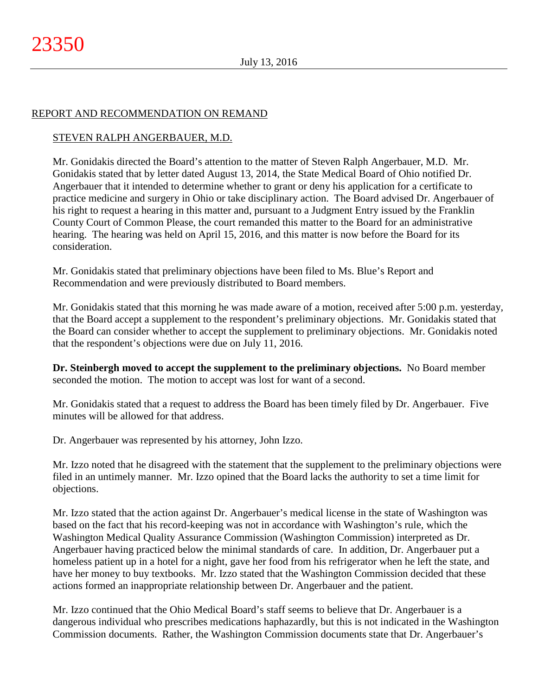# REPORT AND RECOMMENDATION ON REMAND

## STEVEN RALPH ANGERBAUER, M.D.

Mr. Gonidakis directed the Board's attention to the matter of Steven Ralph Angerbauer, M.D. Mr. Gonidakis stated that by letter dated August 13, 2014, the State Medical Board of Ohio notified Dr. Angerbauer that it intended to determine whether to grant or deny his application for a certificate to practice medicine and surgery in Ohio or take disciplinary action. The Board advised Dr. Angerbauer of his right to request a hearing in this matter and, pursuant to a Judgment Entry issued by the Franklin County Court of Common Please, the court remanded this matter to the Board for an administrative hearing. The hearing was held on April 15, 2016, and this matter is now before the Board for its consideration.

Mr. Gonidakis stated that preliminary objections have been filed to Ms. Blue's Report and Recommendation and were previously distributed to Board members.

Mr. Gonidakis stated that this morning he was made aware of a motion, received after 5:00 p.m. yesterday, that the Board accept a supplement to the respondent's preliminary objections. Mr. Gonidakis stated that the Board can consider whether to accept the supplement to preliminary objections. Mr. Gonidakis noted that the respondent's objections were due on July 11, 2016.

**Dr. Steinbergh moved to accept the supplement to the preliminary objections.** No Board member seconded the motion. The motion to accept was lost for want of a second.

Mr. Gonidakis stated that a request to address the Board has been timely filed by Dr. Angerbauer. Five minutes will be allowed for that address.

Dr. Angerbauer was represented by his attorney, John Izzo.

Mr. Izzo noted that he disagreed with the statement that the supplement to the preliminary objections were filed in an untimely manner. Mr. Izzo opined that the Board lacks the authority to set a time limit for objections.

Mr. Izzo stated that the action against Dr. Angerbauer's medical license in the state of Washington was based on the fact that his record-keeping was not in accordance with Washington's rule, which the Washington Medical Quality Assurance Commission (Washington Commission) interpreted as Dr. Angerbauer having practiced below the minimal standards of care. In addition, Dr. Angerbauer put a homeless patient up in a hotel for a night, gave her food from his refrigerator when he left the state, and have her money to buy textbooks. Mr. Izzo stated that the Washington Commission decided that these actions formed an inappropriate relationship between Dr. Angerbauer and the patient.

Mr. Izzo continued that the Ohio Medical Board's staff seems to believe that Dr. Angerbauer is a dangerous individual who prescribes medications haphazardly, but this is not indicated in the Washington Commission documents. Rather, the Washington Commission documents state that Dr. Angerbauer's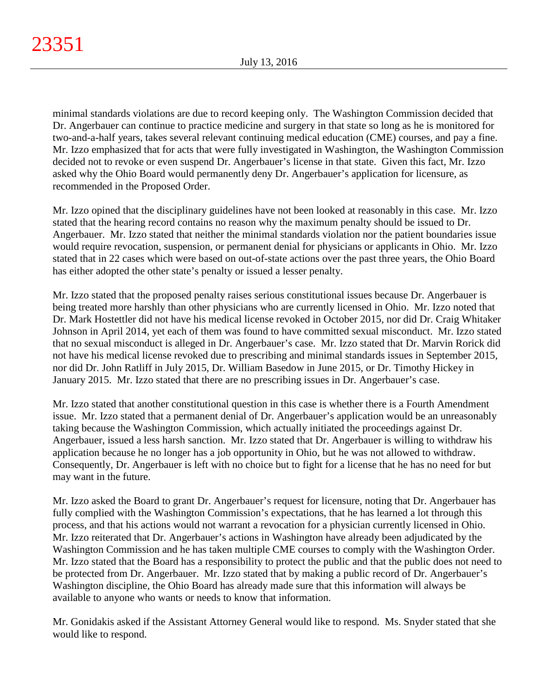minimal standards violations are due to record keeping only. The Washington Commission decided that Dr. Angerbauer can continue to practice medicine and surgery in that state so long as he is monitored for two-and-a-half years, takes several relevant continuing medical education (CME) courses, and pay a fine. Mr. Izzo emphasized that for acts that were fully investigated in Washington, the Washington Commission decided not to revoke or even suspend Dr. Angerbauer's license in that state. Given this fact, Mr. Izzo asked why the Ohio Board would permanently deny Dr. Angerbauer's application for licensure, as recommended in the Proposed Order.

Mr. Izzo opined that the disciplinary guidelines have not been looked at reasonably in this case. Mr. Izzo stated that the hearing record contains no reason why the maximum penalty should be issued to Dr. Angerbauer. Mr. Izzo stated that neither the minimal standards violation nor the patient boundaries issue would require revocation, suspension, or permanent denial for physicians or applicants in Ohio. Mr. Izzo stated that in 22 cases which were based on out-of-state actions over the past three years, the Ohio Board has either adopted the other state's penalty or issued a lesser penalty.

Mr. Izzo stated that the proposed penalty raises serious constitutional issues because Dr. Angerbauer is being treated more harshly than other physicians who are currently licensed in Ohio. Mr. Izzo noted that Dr. Mark Hostettler did not have his medical license revoked in October 2015, nor did Dr. Craig Whitaker Johnson in April 2014, yet each of them was found to have committed sexual misconduct. Mr. Izzo stated that no sexual misconduct is alleged in Dr. Angerbauer's case. Mr. Izzo stated that Dr. Marvin Rorick did not have his medical license revoked due to prescribing and minimal standards issues in September 2015, nor did Dr. John Ratliff in July 2015, Dr. William Basedow in June 2015, or Dr. Timothy Hickey in January 2015. Mr. Izzo stated that there are no prescribing issues in Dr. Angerbauer's case.

Mr. Izzo stated that another constitutional question in this case is whether there is a Fourth Amendment issue. Mr. Izzo stated that a permanent denial of Dr. Angerbauer's application would be an unreasonably taking because the Washington Commission, which actually initiated the proceedings against Dr. Angerbauer, issued a less harsh sanction. Mr. Izzo stated that Dr. Angerbauer is willing to withdraw his application because he no longer has a job opportunity in Ohio, but he was not allowed to withdraw. Consequently, Dr. Angerbauer is left with no choice but to fight for a license that he has no need for but may want in the future.

Mr. Izzo asked the Board to grant Dr. Angerbauer's request for licensure, noting that Dr. Angerbauer has fully complied with the Washington Commission's expectations, that he has learned a lot through this process, and that his actions would not warrant a revocation for a physician currently licensed in Ohio. Mr. Izzo reiterated that Dr. Angerbauer's actions in Washington have already been adjudicated by the Washington Commission and he has taken multiple CME courses to comply with the Washington Order. Mr. Izzo stated that the Board has a responsibility to protect the public and that the public does not need to be protected from Dr. Angerbauer. Mr. Izzo stated that by making a public record of Dr. Angerbauer's Washington discipline, the Ohio Board has already made sure that this information will always be available to anyone who wants or needs to know that information.

Mr. Gonidakis asked if the Assistant Attorney General would like to respond. Ms. Snyder stated that she would like to respond.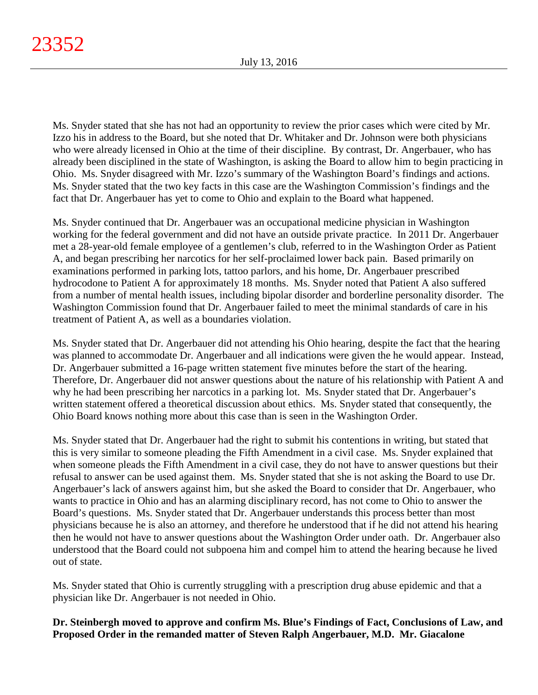Ms. Snyder stated that she has not had an opportunity to review the prior cases which were cited by Mr. Izzo his in address to the Board, but she noted that Dr. Whitaker and Dr. Johnson were both physicians who were already licensed in Ohio at the time of their discipline. By contrast, Dr. Angerbauer, who has already been disciplined in the state of Washington, is asking the Board to allow him to begin practicing in Ohio. Ms. Snyder disagreed with Mr. Izzo's summary of the Washington Board's findings and actions. Ms. Snyder stated that the two key facts in this case are the Washington Commission's findings and the fact that Dr. Angerbauer has yet to come to Ohio and explain to the Board what happened.

Ms. Snyder continued that Dr. Angerbauer was an occupational medicine physician in Washington working for the federal government and did not have an outside private practice. In 2011 Dr. Angerbauer met a 28-year-old female employee of a gentlemen's club, referred to in the Washington Order as Patient A, and began prescribing her narcotics for her self-proclaimed lower back pain. Based primarily on examinations performed in parking lots, tattoo parlors, and his home, Dr. Angerbauer prescribed hydrocodone to Patient A for approximately 18 months. Ms. Snyder noted that Patient A also suffered from a number of mental health issues, including bipolar disorder and borderline personality disorder. The Washington Commission found that Dr. Angerbauer failed to meet the minimal standards of care in his treatment of Patient A, as well as a boundaries violation.

Ms. Snyder stated that Dr. Angerbauer did not attending his Ohio hearing, despite the fact that the hearing was planned to accommodate Dr. Angerbauer and all indications were given the he would appear. Instead, Dr. Angerbauer submitted a 16-page written statement five minutes before the start of the hearing. Therefore, Dr. Angerbauer did not answer questions about the nature of his relationship with Patient A and why he had been prescribing her narcotics in a parking lot. Ms. Snyder stated that Dr. Angerbauer's written statement offered a theoretical discussion about ethics. Ms. Snyder stated that consequently, the Ohio Board knows nothing more about this case than is seen in the Washington Order.

Ms. Snyder stated that Dr. Angerbauer had the right to submit his contentions in writing, but stated that this is very similar to someone pleading the Fifth Amendment in a civil case. Ms. Snyder explained that when someone pleads the Fifth Amendment in a civil case, they do not have to answer questions but their refusal to answer can be used against them. Ms. Snyder stated that she is not asking the Board to use Dr. Angerbauer's lack of answers against him, but she asked the Board to consider that Dr. Angerbauer, who wants to practice in Ohio and has an alarming disciplinary record, has not come to Ohio to answer the Board's questions. Ms. Snyder stated that Dr. Angerbauer understands this process better than most physicians because he is also an attorney, and therefore he understood that if he did not attend his hearing then he would not have to answer questions about the Washington Order under oath. Dr. Angerbauer also understood that the Board could not subpoena him and compel him to attend the hearing because he lived out of state.

Ms. Snyder stated that Ohio is currently struggling with a prescription drug abuse epidemic and that a physician like Dr. Angerbauer is not needed in Ohio.

**Dr. Steinbergh moved to approve and confirm Ms. Blue's Findings of Fact, Conclusions of Law, and Proposed Order in the remanded matter of Steven Ralph Angerbauer, M.D. Mr. Giacalone**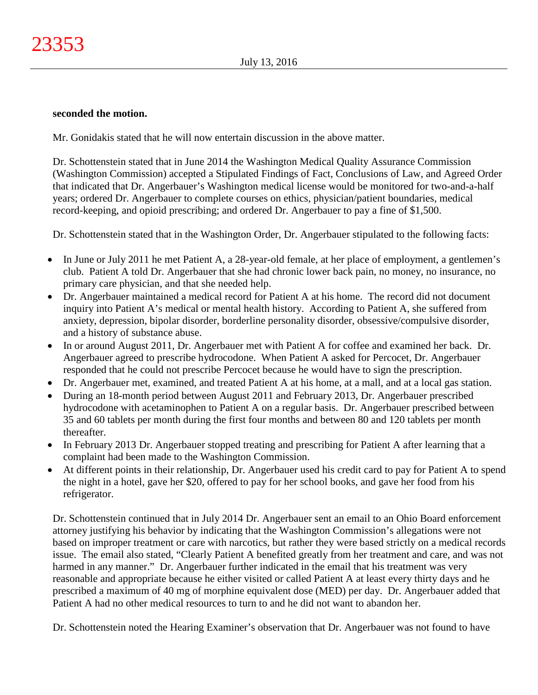#### **seconded the motion.**

Mr. Gonidakis stated that he will now entertain discussion in the above matter.

Dr. Schottenstein stated that in June 2014 the Washington Medical Quality Assurance Commission (Washington Commission) accepted a Stipulated Findings of Fact, Conclusions of Law, and Agreed Order that indicated that Dr. Angerbauer's Washington medical license would be monitored for two-and-a-half years; ordered Dr. Angerbauer to complete courses on ethics, physician/patient boundaries, medical record-keeping, and opioid prescribing; and ordered Dr. Angerbauer to pay a fine of \$1,500.

Dr. Schottenstein stated that in the Washington Order, Dr. Angerbauer stipulated to the following facts:

- In June or July 2011 he met Patient A, a 28-year-old female, at her place of employment, a gentlemen's club. Patient A told Dr. Angerbauer that she had chronic lower back pain, no money, no insurance, no primary care physician, and that she needed help.
- Dr. Angerbauer maintained a medical record for Patient A at his home. The record did not document inquiry into Patient A's medical or mental health history. According to Patient A, she suffered from anxiety, depression, bipolar disorder, borderline personality disorder, obsessive/compulsive disorder, and a history of substance abuse.
- In or around August 2011, Dr. Angerbauer met with Patient A for coffee and examined her back. Dr. Angerbauer agreed to prescribe hydrocodone. When Patient A asked for Percocet, Dr. Angerbauer responded that he could not prescribe Percocet because he would have to sign the prescription.
- Dr. Angerbauer met, examined, and treated Patient A at his home, at a mall, and at a local gas station.
- During an 18-month period between August 2011 and February 2013, Dr. Angerbauer prescribed hydrocodone with acetaminophen to Patient A on a regular basis. Dr. Angerbauer prescribed between 35 and 60 tablets per month during the first four months and between 80 and 120 tablets per month thereafter.
- In February 2013 Dr. Angerbauer stopped treating and prescribing for Patient A after learning that a complaint had been made to the Washington Commission.
- At different points in their relationship, Dr. Angerbauer used his credit card to pay for Patient A to spend the night in a hotel, gave her \$20, offered to pay for her school books, and gave her food from his refrigerator.

Dr. Schottenstein continued that in July 2014 Dr. Angerbauer sent an email to an Ohio Board enforcement attorney justifying his behavior by indicating that the Washington Commission's allegations were not based on improper treatment or care with narcotics, but rather they were based strictly on a medical records issue. The email also stated, "Clearly Patient A benefited greatly from her treatment and care, and was not harmed in any manner." Dr. Angerbauer further indicated in the email that his treatment was very reasonable and appropriate because he either visited or called Patient A at least every thirty days and he prescribed a maximum of 40 mg of morphine equivalent dose (MED) per day. Dr. Angerbauer added that Patient A had no other medical resources to turn to and he did not want to abandon her.

Dr. Schottenstein noted the Hearing Examiner's observation that Dr. Angerbauer was not found to have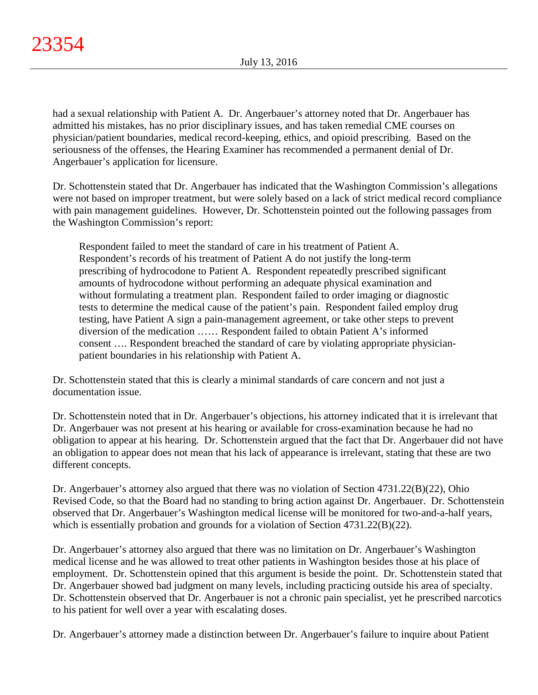had a sexual relationship with Patient A. Dr. Angerbauer's attorney noted that Dr. Angerbauer has admitted his mistakes, has no prior disciplinary issues, and has taken remedial CME courses on physician/patient boundaries, medical record-keeping, ethics, and opioid prescribing. Based on the seriousness of the offenses, the Hearing Examiner has recommended a permanent denial of Dr. Angerbauer's application for licensure.

Dr. Schottenstein stated that Dr. Angerbauer has indicated that the Washington Commission's allegations were not based on improper treatment, but were solely based on a lack of strict medical record compliance with pain management guidelines. However, Dr. Schottenstein pointed out the following passages from the Washington Commission's report:

Respondent failed to meet the standard of care in his treatment of Patient A. Respondent's records of his treatment of Patient A do not justify the long-term prescribing of hydrocodone to Patient A. Respondent repeatedly prescribed significant amounts of hydrocodone without performing an adequate physical examination and without formulating a treatment plan. Respondent failed to order imaging or diagnostic tests to determine the medical cause of the patient's pain. Respondent failed employ drug testing, have Patient A sign a pain-management agreement, or take other steps to prevent diversion of the medication …… Respondent failed to obtain Patient A's informed consent …. Respondent breached the standard of care by violating appropriate physicianpatient boundaries in his relationship with Patient A.

Dr. Schottenstein stated that this is clearly a minimal standards of care concern and not just a documentation issue.

Dr. Schottenstein noted that in Dr. Angerbauer's objections, his attorney indicated that it is irrelevant that Dr. Angerbauer was not present at his hearing or available for cross-examination because he had no obligation to appear at his hearing. Dr. Schottenstein argued that the fact that Dr. Angerbauer did not have an obligation to appear does not mean that his lack of appearance is irrelevant, stating that these are two different concepts.

Dr. Angerbauer's attorney also argued that there was no violation of Section 4731.22(B)(22), Ohio Revised Code, so that the Board had no standing to bring action against Dr. Angerbauer. Dr. Schottenstein observed that Dr. Angerbauer's Washington medical license will be monitored for two-and-a-half years, which is essentially probation and grounds for a violation of Section 4731.22(B)(22).

Dr. Angerbauer's attorney also argued that there was no limitation on Dr. Angerbauer's Washington medical license and he was allowed to treat other patients in Washington besides those at his place of employment. Dr. Schottenstein opined that this argument is beside the point. Dr. Schottenstein stated that Dr. Angerbauer showed bad judgment on many levels, including practicing outside his area of specialty. Dr. Schottenstein observed that Dr. Angerbauer is not a chronic pain specialist, yet he prescribed narcotics to his patient for well over a year with escalating doses.

Dr. Angerbauer's attorney made a distinction between Dr. Angerbauer's failure to inquire about Patient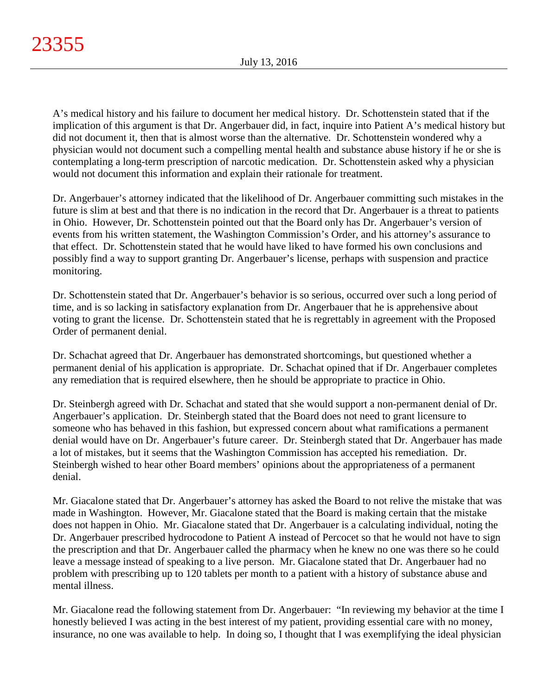A's medical history and his failure to document her medical history. Dr. Schottenstein stated that if the implication of this argument is that Dr. Angerbauer did, in fact, inquire into Patient A's medical history but did not document it, then that is almost worse than the alternative. Dr. Schottenstein wondered why a physician would not document such a compelling mental health and substance abuse history if he or she is contemplating a long-term prescription of narcotic medication. Dr. Schottenstein asked why a physician would not document this information and explain their rationale for treatment.

Dr. Angerbauer's attorney indicated that the likelihood of Dr. Angerbauer committing such mistakes in the future is slim at best and that there is no indication in the record that Dr. Angerbauer is a threat to patients in Ohio. However, Dr. Schottenstein pointed out that the Board only has Dr. Angerbauer's version of events from his written statement, the Washington Commission's Order, and his attorney's assurance to that effect. Dr. Schottenstein stated that he would have liked to have formed his own conclusions and possibly find a way to support granting Dr. Angerbauer's license, perhaps with suspension and practice monitoring.

Dr. Schottenstein stated that Dr. Angerbauer's behavior is so serious, occurred over such a long period of time, and is so lacking in satisfactory explanation from Dr. Angerbauer that he is apprehensive about voting to grant the license. Dr. Schottenstein stated that he is regrettably in agreement with the Proposed Order of permanent denial.

Dr. Schachat agreed that Dr. Angerbauer has demonstrated shortcomings, but questioned whether a permanent denial of his application is appropriate. Dr. Schachat opined that if Dr. Angerbauer completes any remediation that is required elsewhere, then he should be appropriate to practice in Ohio.

Dr. Steinbergh agreed with Dr. Schachat and stated that she would support a non-permanent denial of Dr. Angerbauer's application. Dr. Steinbergh stated that the Board does not need to grant licensure to someone who has behaved in this fashion, but expressed concern about what ramifications a permanent denial would have on Dr. Angerbauer's future career. Dr. Steinbergh stated that Dr. Angerbauer has made a lot of mistakes, but it seems that the Washington Commission has accepted his remediation. Dr. Steinbergh wished to hear other Board members' opinions about the appropriateness of a permanent denial.

Mr. Giacalone stated that Dr. Angerbauer's attorney has asked the Board to not relive the mistake that was made in Washington. However, Mr. Giacalone stated that the Board is making certain that the mistake does not happen in Ohio. Mr. Giacalone stated that Dr. Angerbauer is a calculating individual, noting the Dr. Angerbauer prescribed hydrocodone to Patient A instead of Percocet so that he would not have to sign the prescription and that Dr. Angerbauer called the pharmacy when he knew no one was there so he could leave a message instead of speaking to a live person. Mr. Giacalone stated that Dr. Angerbauer had no problem with prescribing up to 120 tablets per month to a patient with a history of substance abuse and mental illness.

Mr. Giacalone read the following statement from Dr. Angerbauer: "In reviewing my behavior at the time I honestly believed I was acting in the best interest of my patient, providing essential care with no money, insurance, no one was available to help. In doing so, I thought that I was exemplifying the ideal physician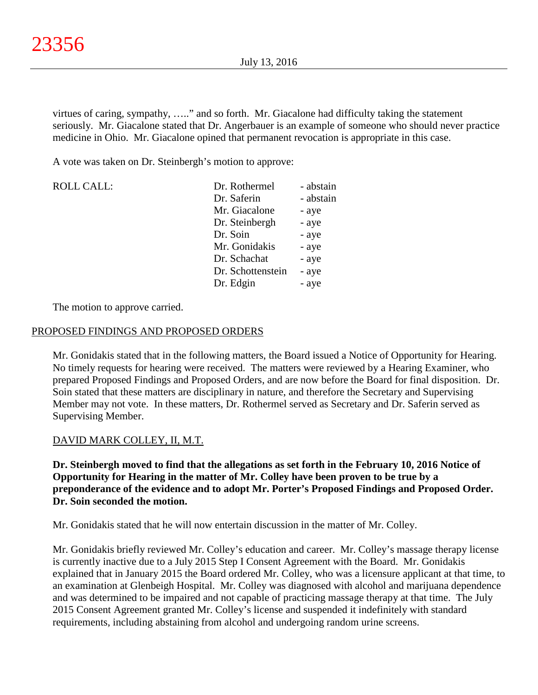virtues of caring, sympathy, ….." and so forth. Mr. Giacalone had difficulty taking the statement seriously. Mr. Giacalone stated that Dr. Angerbauer is an example of someone who should never practice medicine in Ohio. Mr. Giacalone opined that permanent revocation is appropriate in this case.

A vote was taken on Dr. Steinbergh's motion to approve:

| <b>ROLL CALL:</b> | Dr. Rothermel     | - abstain |
|-------------------|-------------------|-----------|
|                   | Dr. Saferin       | - abstain |
|                   | Mr. Giacalone     | - aye     |
|                   | Dr. Steinbergh    | - aye     |
|                   | Dr. Soin          | - aye     |
|                   | Mr. Gonidakis     | - aye     |
|                   | Dr. Schachat      | - aye     |
|                   | Dr. Schottenstein | - aye     |
|                   | Dr. Edgin         | - aye     |

The motion to approve carried.

#### PROPOSED FINDINGS AND PROPOSED ORDERS

Mr. Gonidakis stated that in the following matters, the Board issued a Notice of Opportunity for Hearing. No timely requests for hearing were received. The matters were reviewed by a Hearing Examiner, who prepared Proposed Findings and Proposed Orders, and are now before the Board for final disposition. Dr. Soin stated that these matters are disciplinary in nature, and therefore the Secretary and Supervising Member may not vote. In these matters, Dr. Rothermel served as Secretary and Dr. Saferin served as Supervising Member.

## DAVID MARK COLLEY, II, M.T.

**Dr. Steinbergh moved to find that the allegations as set forth in the February 10, 2016 Notice of Opportunity for Hearing in the matter of Mr. Colley have been proven to be true by a preponderance of the evidence and to adopt Mr. Porter's Proposed Findings and Proposed Order. Dr. Soin seconded the motion.**

Mr. Gonidakis stated that he will now entertain discussion in the matter of Mr. Colley.

Mr. Gonidakis briefly reviewed Mr. Colley's education and career. Mr. Colley's massage therapy license is currently inactive due to a July 2015 Step I Consent Agreement with the Board. Mr. Gonidakis explained that in January 2015 the Board ordered Mr. Colley, who was a licensure applicant at that time, to an examination at Glenbeigh Hospital. Mr. Colley was diagnosed with alcohol and marijuana dependence and was determined to be impaired and not capable of practicing massage therapy at that time. The July 2015 Consent Agreement granted Mr. Colley's license and suspended it indefinitely with standard requirements, including abstaining from alcohol and undergoing random urine screens.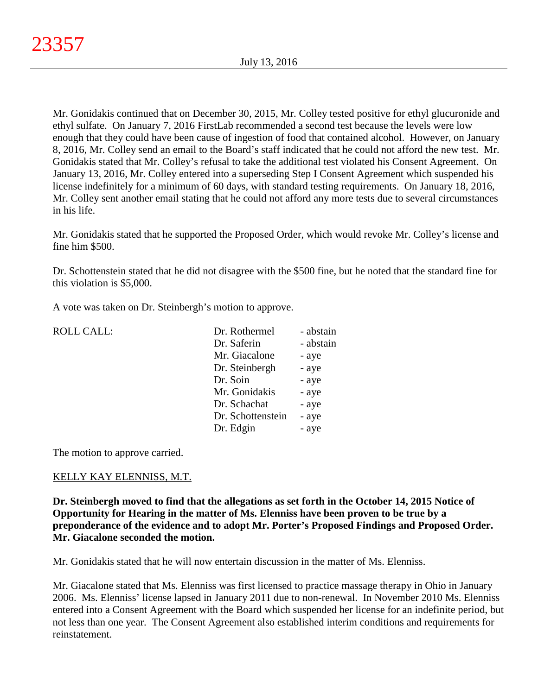Mr. Gonidakis continued that on December 30, 2015, Mr. Colley tested positive for ethyl glucuronide and ethyl sulfate. On January 7, 2016 FirstLab recommended a second test because the levels were low enough that they could have been cause of ingestion of food that contained alcohol. However, on January 8, 2016, Mr. Colley send an email to the Board's staff indicated that he could not afford the new test. Mr. Gonidakis stated that Mr. Colley's refusal to take the additional test violated his Consent Agreement. On January 13, 2016, Mr. Colley entered into a superseding Step I Consent Agreement which suspended his license indefinitely for a minimum of 60 days, with standard testing requirements. On January 18, 2016, Mr. Colley sent another email stating that he could not afford any more tests due to several circumstances in his life.

Mr. Gonidakis stated that he supported the Proposed Order, which would revoke Mr. Colley's license and fine him \$500.

Dr. Schottenstein stated that he did not disagree with the \$500 fine, but he noted that the standard fine for this violation is \$5,000.

A vote was taken on Dr. Steinbergh's motion to approve.

| <b>ROLL CALL:</b> | Dr. Rothermel     | - abstain |
|-------------------|-------------------|-----------|
|                   | Dr. Saferin       | - abstain |
|                   | Mr. Giacalone     | - aye     |
|                   | Dr. Steinbergh    | - aye     |
|                   | Dr. Soin          | - aye     |
|                   | Mr. Gonidakis     | - aye     |
|                   | Dr. Schachat      | - aye     |
|                   | Dr. Schottenstein | - aye     |
|                   | Dr. Edgin         | - aye     |
|                   |                   |           |

The motion to approve carried.

## KELLY KAY ELENNISS, M.T.

**Dr. Steinbergh moved to find that the allegations as set forth in the October 14, 2015 Notice of Opportunity for Hearing in the matter of Ms. Elenniss have been proven to be true by a preponderance of the evidence and to adopt Mr. Porter's Proposed Findings and Proposed Order. Mr. Giacalone seconded the motion.**

Mr. Gonidakis stated that he will now entertain discussion in the matter of Ms. Elenniss.

Mr. Giacalone stated that Ms. Elenniss was first licensed to practice massage therapy in Ohio in January 2006. Ms. Elenniss' license lapsed in January 2011 due to non-renewal. In November 2010 Ms. Elenniss entered into a Consent Agreement with the Board which suspended her license for an indefinite period, but not less than one year. The Consent Agreement also established interim conditions and requirements for reinstatement.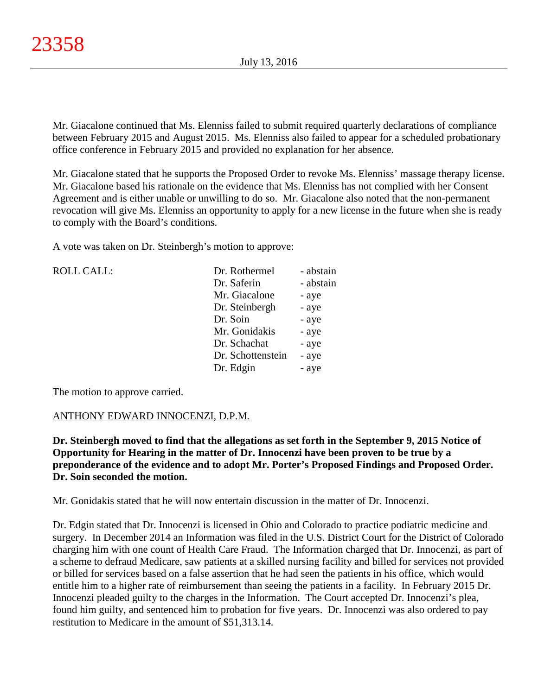Mr. Giacalone continued that Ms. Elenniss failed to submit required quarterly declarations of compliance between February 2015 and August 2015. Ms. Elenniss also failed to appear for a scheduled probationary office conference in February 2015 and provided no explanation for her absence.

Mr. Giacalone stated that he supports the Proposed Order to revoke Ms. Elenniss' massage therapy license. Mr. Giacalone based his rationale on the evidence that Ms. Elenniss has not complied with her Consent Agreement and is either unable or unwilling to do so. Mr. Giacalone also noted that the non-permanent revocation will give Ms. Elenniss an opportunity to apply for a new license in the future when she is ready to comply with the Board's conditions.

A vote was taken on Dr. Steinbergh's motion to approve:

| <b>ROLL CALL:</b> | Dr. Rothermel     | - abstain |
|-------------------|-------------------|-----------|
|                   | Dr. Saferin       | - abstain |
|                   | Mr. Giacalone     | - aye     |
|                   | Dr. Steinbergh    | - aye     |
|                   | Dr. Soin          | - aye     |
|                   | Mr. Gonidakis     | - aye     |
|                   | Dr. Schachat      | - aye     |
|                   | Dr. Schottenstein | - aye     |
|                   | Dr. Edgin         | - aye     |
|                   |                   |           |

The motion to approve carried.

## ANTHONY EDWARD INNOCENZI, D.P.M.

**Dr. Steinbergh moved to find that the allegations as set forth in the September 9, 2015 Notice of Opportunity for Hearing in the matter of Dr. Innocenzi have been proven to be true by a preponderance of the evidence and to adopt Mr. Porter's Proposed Findings and Proposed Order. Dr. Soin seconded the motion.**

Mr. Gonidakis stated that he will now entertain discussion in the matter of Dr. Innocenzi.

Dr. Edgin stated that Dr. Innocenzi is licensed in Ohio and Colorado to practice podiatric medicine and surgery. In December 2014 an Information was filed in the U.S. District Court for the District of Colorado charging him with one count of Health Care Fraud. The Information charged that Dr. Innocenzi, as part of a scheme to defraud Medicare, saw patients at a skilled nursing facility and billed for services not provided or billed for services based on a false assertion that he had seen the patients in his office, which would entitle him to a higher rate of reimbursement than seeing the patients in a facility. In February 2015 Dr. Innocenzi pleaded guilty to the charges in the Information. The Court accepted Dr. Innocenzi's plea, found him guilty, and sentenced him to probation for five years. Dr. Innocenzi was also ordered to pay restitution to Medicare in the amount of \$51,313.14.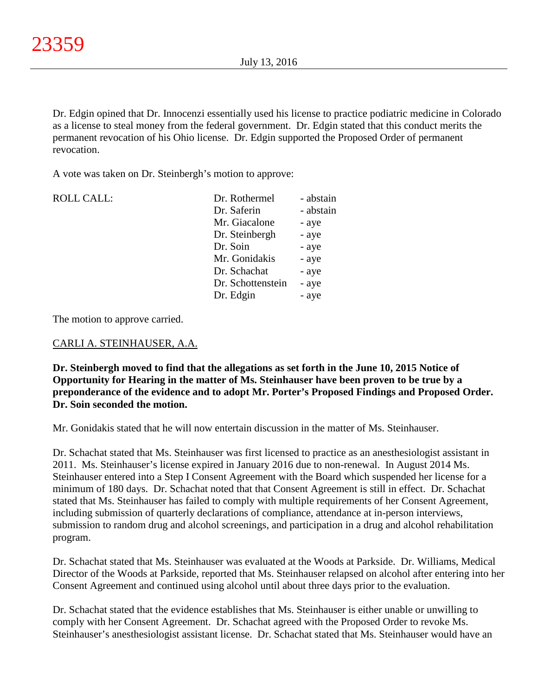Dr. Edgin opined that Dr. Innocenzi essentially used his license to practice podiatric medicine in Colorado as a license to steal money from the federal government. Dr. Edgin stated that this conduct merits the permanent revocation of his Ohio license. Dr. Edgin supported the Proposed Order of permanent revocation.

A vote was taken on Dr. Steinbergh's motion to approve:

| <b>ROLL CALL:</b> | Dr. Rothermel     | - abstain |
|-------------------|-------------------|-----------|
|                   | Dr. Saferin       | - abstain |
|                   | Mr. Giacalone     | - aye     |
|                   | Dr. Steinbergh    | - aye     |
|                   | Dr. Soin          | - aye     |
|                   | Mr. Gonidakis     | - aye     |
|                   | Dr. Schachat      | - aye     |
|                   | Dr. Schottenstein | - aye     |
|                   | Dr. Edgin         | - aye     |
|                   |                   |           |

The motion to approve carried.

## CARLI A. STEINHAUSER, A.A.

**Dr. Steinbergh moved to find that the allegations as set forth in the June 10, 2015 Notice of Opportunity for Hearing in the matter of Ms. Steinhauser have been proven to be true by a preponderance of the evidence and to adopt Mr. Porter's Proposed Findings and Proposed Order. Dr. Soin seconded the motion.**

Mr. Gonidakis stated that he will now entertain discussion in the matter of Ms. Steinhauser.

Dr. Schachat stated that Ms. Steinhauser was first licensed to practice as an anesthesiologist assistant in 2011. Ms. Steinhauser's license expired in January 2016 due to non-renewal. In August 2014 Ms. Steinhauser entered into a Step I Consent Agreement with the Board which suspended her license for a minimum of 180 days. Dr. Schachat noted that that Consent Agreement is still in effect. Dr. Schachat stated that Ms. Steinhauser has failed to comply with multiple requirements of her Consent Agreement, including submission of quarterly declarations of compliance, attendance at in-person interviews, submission to random drug and alcohol screenings, and participation in a drug and alcohol rehabilitation program.

Dr. Schachat stated that Ms. Steinhauser was evaluated at the Woods at Parkside. Dr. Williams, Medical Director of the Woods at Parkside, reported that Ms. Steinhauser relapsed on alcohol after entering into her Consent Agreement and continued using alcohol until about three days prior to the evaluation.

Dr. Schachat stated that the evidence establishes that Ms. Steinhauser is either unable or unwilling to comply with her Consent Agreement. Dr. Schachat agreed with the Proposed Order to revoke Ms. Steinhauser's anesthesiologist assistant license. Dr. Schachat stated that Ms. Steinhauser would have an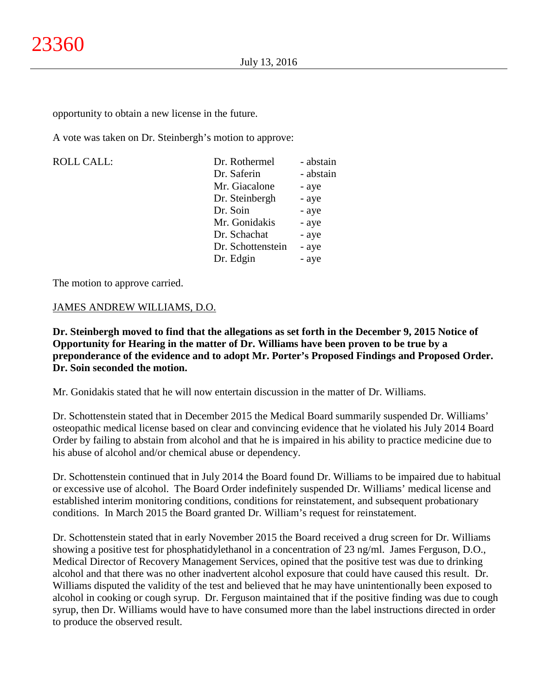opportunity to obtain a new license in the future.

A vote was taken on Dr. Steinbergh's motion to approve:

ROLL CALL:

| Dr. Rothermel     | - abstain |
|-------------------|-----------|
| Dr. Saferin       | - abstain |
| Mr. Giacalone     | - aye     |
| Dr. Steinbergh    | - aye     |
| Dr. Soin          | - aye     |
| Mr. Gonidakis     | - aye     |
| Dr. Schachat      | - aye     |
| Dr. Schottenstein | - aye     |
| Dr. Edgin         | - aye     |
|                   |           |

The motion to approve carried.

## JAMES ANDREW WILLIAMS, D.O.

**Dr. Steinbergh moved to find that the allegations as set forth in the December 9, 2015 Notice of Opportunity for Hearing in the matter of Dr. Williams have been proven to be true by a preponderance of the evidence and to adopt Mr. Porter's Proposed Findings and Proposed Order. Dr. Soin seconded the motion.**

Mr. Gonidakis stated that he will now entertain discussion in the matter of Dr. Williams.

Dr. Schottenstein stated that in December 2015 the Medical Board summarily suspended Dr. Williams' osteopathic medical license based on clear and convincing evidence that he violated his July 2014 Board Order by failing to abstain from alcohol and that he is impaired in his ability to practice medicine due to his abuse of alcohol and/or chemical abuse or dependency.

Dr. Schottenstein continued that in July 2014 the Board found Dr. Williams to be impaired due to habitual or excessive use of alcohol. The Board Order indefinitely suspended Dr. Williams' medical license and established interim monitoring conditions, conditions for reinstatement, and subsequent probationary conditions. In March 2015 the Board granted Dr. William's request for reinstatement.

Dr. Schottenstein stated that in early November 2015 the Board received a drug screen for Dr. Williams showing a positive test for phosphatidylethanol in a concentration of 23 ng/ml. James Ferguson, D.O., Medical Director of Recovery Management Services, opined that the positive test was due to drinking alcohol and that there was no other inadvertent alcohol exposure that could have caused this result. Dr. Williams disputed the validity of the test and believed that he may have unintentionally been exposed to alcohol in cooking or cough syrup. Dr. Ferguson maintained that if the positive finding was due to cough syrup, then Dr. Williams would have to have consumed more than the label instructions directed in order to produce the observed result.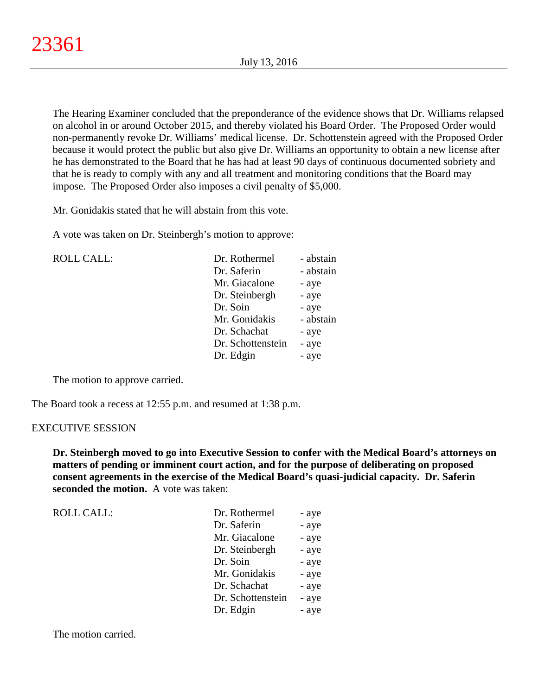The Hearing Examiner concluded that the preponderance of the evidence shows that Dr. Williams relapsed on alcohol in or around October 2015, and thereby violated his Board Order. The Proposed Order would non-permanently revoke Dr. Williams' medical license. Dr. Schottenstein agreed with the Proposed Order because it would protect the public but also give Dr. Williams an opportunity to obtain a new license after he has demonstrated to the Board that he has had at least 90 days of continuous documented sobriety and that he is ready to comply with any and all treatment and monitoring conditions that the Board may impose. The Proposed Order also imposes a civil penalty of \$5,000.

Mr. Gonidakis stated that he will abstain from this vote.

A vote was taken on Dr. Steinbergh's motion to approve:

| <b>ROLL CALL:</b> | Dr. Rothermel     | - abstain |
|-------------------|-------------------|-----------|
|                   | Dr. Saferin       | - abstain |
|                   | Mr. Giacalone     | - aye     |
|                   | Dr. Steinbergh    | - aye     |
|                   | Dr. Soin          | - aye     |
|                   | Mr. Gonidakis     | - abstain |
|                   | Dr. Schachat      | - aye     |
|                   | Dr. Schottenstein | - aye     |
|                   | Dr. Edgin         | - aye     |
|                   |                   |           |

The motion to approve carried.

The Board took a recess at 12:55 p.m. and resumed at 1:38 p.m.

#### EXECUTIVE SESSION

**Dr. Steinbergh moved to go into Executive Session to confer with the Medical Board's attorneys on matters of pending or imminent court action, and for the purpose of deliberating on proposed consent agreements in the exercise of the Medical Board's quasi-judicial capacity. Dr. Saferin seconded the motion.** A vote was taken:

| Dr. Rothermel     | - aye |
|-------------------|-------|
| Dr. Saferin       | - aye |
| Mr. Giacalone     | - aye |
| Dr. Steinbergh    | - aye |
| Dr. Soin          | - aye |
| Mr. Gonidakis     | - aye |
| Dr. Schachat      | - aye |
| Dr. Schottenstein | - aye |
| Dr. Edgin         | - aye |
|                   |       |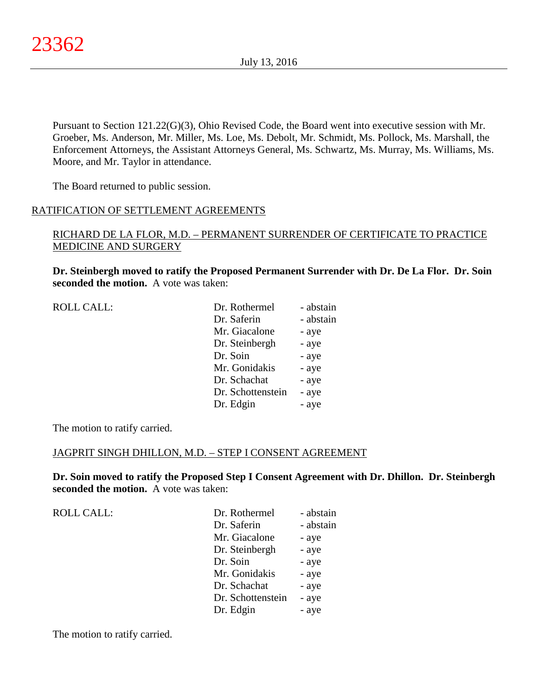Pursuant to Section 121.22(G)(3), Ohio Revised Code, the Board went into executive session with Mr. Groeber, Ms. Anderson, Mr. Miller, Ms. Loe, Ms. Debolt, Mr. Schmidt, Ms. Pollock, Ms. Marshall, the Enforcement Attorneys, the Assistant Attorneys General, Ms. Schwartz, Ms. Murray, Ms. Williams, Ms. Moore, and Mr. Taylor in attendance.

The Board returned to public session.

# RATIFICATION OF SETTLEMENT AGREEMENTS

## RICHARD DE LA FLOR, M.D. – PERMANENT SURRENDER OF CERTIFICATE TO PRACTICE MEDICINE AND SURGERY

**Dr. Steinbergh moved to ratify the Proposed Permanent Surrender with Dr. De La Flor. Dr. Soin seconded the motion.** A vote was taken:

| <b>ROLL CALL:</b> | Dr. Rothermel     | - abstain |
|-------------------|-------------------|-----------|
|                   | Dr. Saferin       | - abstain |
|                   | Mr. Giacalone     | - aye     |
|                   | Dr. Steinbergh    | - aye     |
|                   | Dr. Soin          | - aye     |
|                   | Mr. Gonidakis     | - aye     |
|                   | Dr. Schachat      | - aye     |
|                   | Dr. Schottenstein | - aye     |
|                   | Dr. Edgin         | - aye     |
|                   |                   |           |

The motion to ratify carried.

## JAGPRIT SINGH DHILLON, M.D. – STEP I CONSENT AGREEMENT

**Dr. Soin moved to ratify the Proposed Step I Consent Agreement with Dr. Dhillon. Dr. Steinbergh seconded the motion.** A vote was taken:

| <b>ROLL CALL:</b> | Dr. Rothermel     | - abstain |
|-------------------|-------------------|-----------|
|                   | Dr. Saferin       | - abstain |
|                   | Mr. Giacalone     | - aye     |
|                   | Dr. Steinbergh    | - aye     |
|                   | Dr. Soin          | - aye     |
|                   | Mr. Gonidakis     | - aye     |
|                   | Dr. Schachat      | - aye     |
|                   | Dr. Schottenstein | - aye     |
|                   | Dr. Edgin         | - aye     |

The motion to ratify carried.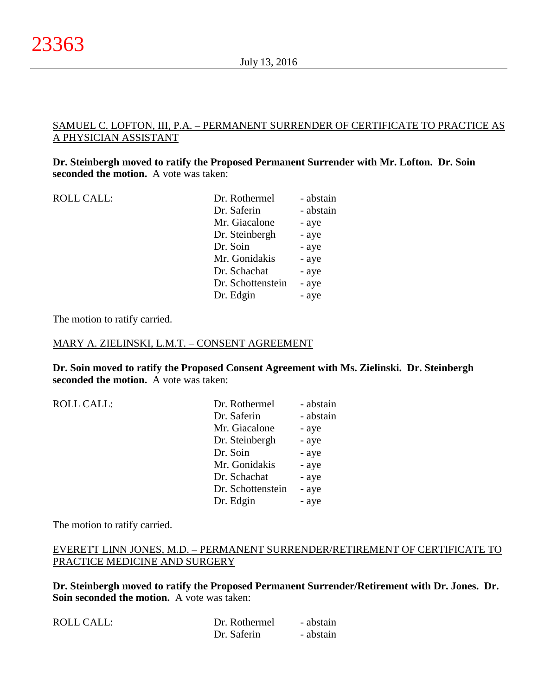## SAMUEL C. LOFTON, III, P.A. – PERMANENT SURRENDER OF CERTIFICATE TO PRACTICE AS A PHYSICIAN ASSISTANT

**Dr. Steinbergh moved to ratify the Proposed Permanent Surrender with Mr. Lofton. Dr. Soin seconded the motion.** A vote was taken:

| ROLL CALL: | Dr. Rothermel     | - abstain |
|------------|-------------------|-----------|
|            | Dr. Saferin       | - abstain |
|            | Mr. Giacalone     | - aye     |
|            | Dr. Steinbergh    | - aye     |
|            | Dr. Soin          | - aye     |
|            | Mr. Gonidakis     | - aye     |
|            | Dr. Schachat      | - aye     |
|            | Dr. Schottenstein | - aye     |
|            | Dr. Edgin         | - aye     |
|            |                   |           |

The motion to ratify carried.

#### MARY A. ZIELINSKI, L.M.T. – CONSENT AGREEMENT

**Dr. Soin moved to ratify the Proposed Consent Agreement with Ms. Zielinski. Dr. Steinbergh seconded the motion.** A vote was taken:

| Dr. Rothermel     | - abstain |
|-------------------|-----------|
| Dr. Saferin       | - abstain |
| Mr. Giacalone     | - aye     |
| Dr. Steinbergh    | - aye     |
| Dr. Soin          | - aye     |
| Mr. Gonidakis     | - aye     |
| Dr. Schachat      | - aye     |
| Dr. Schottenstein | - aye     |
| Dr. Edgin         | - aye     |
|                   |           |

The motion to ratify carried.

## EVERETT LINN JONES, M.D. – PERMANENT SURRENDER/RETIREMENT OF CERTIFICATE TO PRACTICE MEDICINE AND SURGERY

**Dr. Steinbergh moved to ratify the Proposed Permanent Surrender/Retirement with Dr. Jones. Dr. Soin seconded the motion.** A vote was taken:

| <b>ROLL CALL:</b> | Dr. Rothermel | - abstain |
|-------------------|---------------|-----------|
|                   | Dr. Saferin   | - abstain |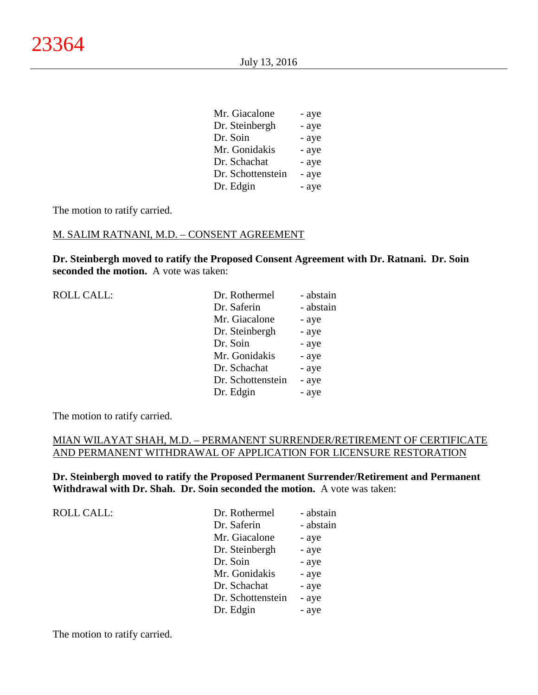| Mr. Giacalone     | - aye |
|-------------------|-------|
| Dr. Steinbergh    | - aye |
| Dr. Soin          | - aye |
| Mr. Gonidakis     | - aye |
| Dr. Schachat      | - aye |
| Dr. Schottenstein | - aye |
| Dr. Edgin         | - aye |

The motion to ratify carried.

#### M. SALIM RATNANI, M.D. – CONSENT AGREEMENT

**Dr. Steinbergh moved to ratify the Proposed Consent Agreement with Dr. Ratnani. Dr. Soin seconded the motion.** A vote was taken:

| <b>ROLL CALL:</b> | Dr. Rothermel     | - abstain |
|-------------------|-------------------|-----------|
|                   | Dr. Saferin       | - abstain |
|                   | Mr. Giacalone     | - aye     |
|                   | Dr. Steinbergh    | - aye     |
|                   | Dr. Soin          | - aye     |
|                   | Mr. Gonidakis     | - aye     |
|                   | Dr. Schachat      | - aye     |
|                   | Dr. Schottenstein | - aye     |
|                   | Dr. Edgin         | - aye     |
|                   |                   |           |

The motion to ratify carried.

# MIAN WILAYAT SHAH, M.D. – PERMANENT SURRENDER/RETIREMENT OF CERTIFICATE AND PERMANENT WITHDRAWAL OF APPLICATION FOR LICENSURE RESTORATION

**Dr. Steinbergh moved to ratify the Proposed Permanent Surrender/Retirement and Permanent Withdrawal with Dr. Shah. Dr. Soin seconded the motion.** A vote was taken:

| <b>ROLL CALL:</b> | Dr. Rothermel     | - abstain |
|-------------------|-------------------|-----------|
|                   | Dr. Saferin       | - abstain |
|                   | Mr. Giacalone     | - aye     |
|                   | Dr. Steinbergh    | - aye     |
|                   | Dr. Soin          | - aye     |
|                   | Mr. Gonidakis     | - aye     |
|                   | Dr. Schachat      | - aye     |
|                   | Dr. Schottenstein | - aye     |
|                   | Dr. Edgin         | - aye     |

The motion to ratify carried.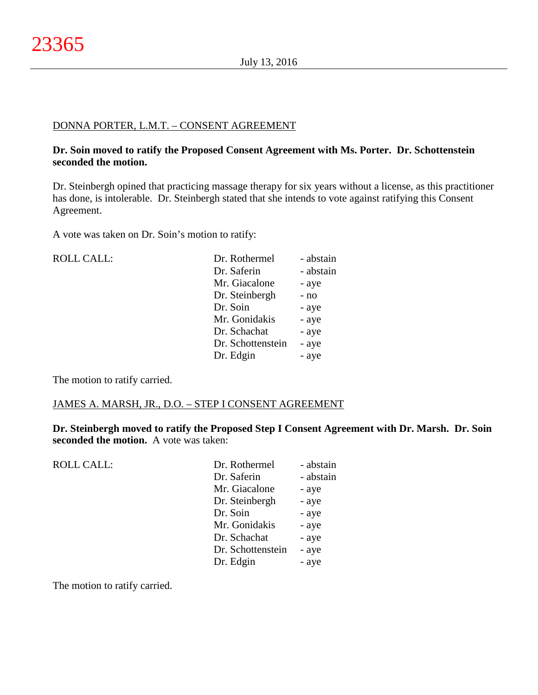## DONNA PORTER, L.M.T. – CONSENT AGREEMENT

## **Dr. Soin moved to ratify the Proposed Consent Agreement with Ms. Porter. Dr. Schottenstein seconded the motion.**

Dr. Steinbergh opined that practicing massage therapy for six years without a license, as this practitioner has done, is intolerable. Dr. Steinbergh stated that she intends to vote against ratifying this Consent Agreement.

A vote was taken on Dr. Soin's motion to ratify:

| <b>ROLL CALL:</b> | Dr. Rothermel     | - abstain |
|-------------------|-------------------|-----------|
|                   | Dr. Saferin       | - abstain |
|                   | Mr. Giacalone     | - aye     |
|                   | Dr. Steinbergh    | $- no$    |
|                   | Dr. Soin          | - aye     |
|                   | Mr. Gonidakis     | - aye     |
|                   | Dr. Schachat      | - aye     |
|                   | Dr. Schottenstein | - aye     |
|                   | Dr. Edgin         | - aye     |
|                   |                   |           |

The motion to ratify carried.

## JAMES A. MARSH, JR., D.O. – STEP I CONSENT AGREEMENT

**Dr. Steinbergh moved to ratify the Proposed Step I Consent Agreement with Dr. Marsh. Dr. Soin seconded the motion.** A vote was taken:

| <b>ROLL CALL:</b> | Dr. Rothermel     | - abstain |
|-------------------|-------------------|-----------|
|                   | Dr. Saferin       | - abstain |
|                   | Mr. Giacalone     | - aye     |
|                   | Dr. Steinbergh    | - aye     |
|                   | Dr. Soin          | - aye     |
|                   | Mr. Gonidakis     | - aye     |
|                   | Dr. Schachat      | - aye     |
|                   | Dr. Schottenstein | - aye     |
|                   | Dr. Edgin         | - aye     |
|                   |                   |           |

The motion to ratify carried.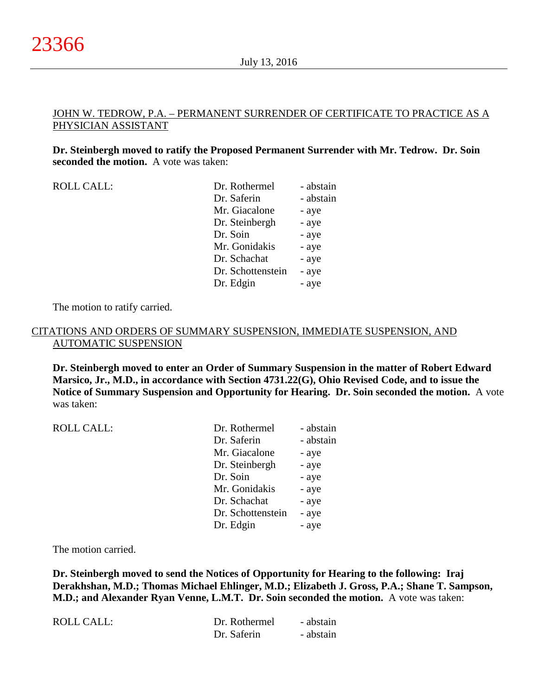ROLL CALL:

## JOHN W. TEDROW, P.A. – PERMANENT SURRENDER OF CERTIFICATE TO PRACTICE AS A PHYSICIAN ASSISTANT

**Dr. Steinbergh moved to ratify the Proposed Permanent Surrender with Mr. Tedrow. Dr. Soin seconded the motion.** A vote was taken:

| Dr. Rothermel     | - abstain |
|-------------------|-----------|
| Dr. Saferin       | - abstain |
| Mr. Giacalone     | - aye     |
| Dr. Steinbergh    | - aye     |
| Dr. Soin          | - aye     |
| Mr. Gonidakis     | - aye     |
| Dr. Schachat      | - aye     |
| Dr. Schottenstein | - aye     |
| Dr. Edgin         | - aye     |

The motion to ratify carried.

#### CITATIONS AND ORDERS OF SUMMARY SUSPENSION, IMMEDIATE SUSPENSION, AND AUTOMATIC SUSPENSION

**Dr. Steinbergh moved to enter an Order of Summary Suspension in the matter of Robert Edward Marsico, Jr., M.D., in accordance with Section 4731.22(G), Ohio Revised Code, and to issue the Notice of Summary Suspension and Opportunity for Hearing. Dr. Soin seconded the motion.** A vote was taken:

| <b>ROLL CALL:</b> | Dr. Rothermel<br>Dr. Saferin | - abstain<br>- abstain |
|-------------------|------------------------------|------------------------|
|                   | Mr. Giacalone                | - aye                  |
|                   | Dr. Steinbergh               | - aye                  |
|                   | Dr. Soin                     | - aye                  |
|                   | Mr. Gonidakis                | - aye                  |
|                   | Dr. Schachat                 | - aye                  |
|                   | Dr. Schottenstein            | - aye                  |
|                   | Dr. Edgin                    | - aye                  |

The motion carried.

**Dr. Steinbergh moved to send the Notices of Opportunity for Hearing to the following: Iraj Derakhshan, M.D.; Thomas Michael Ehlinger, M.D.; Elizabeth J. Gross, P.A.; Shane T. Sampson, M.D.; and Alexander Ryan Venne, L.M.T. Dr. Soin seconded the motion.** A vote was taken:

| ROLL CALL: | Dr. Rothermel | - abstain |
|------------|---------------|-----------|
|            | Dr. Saferin   | - abstain |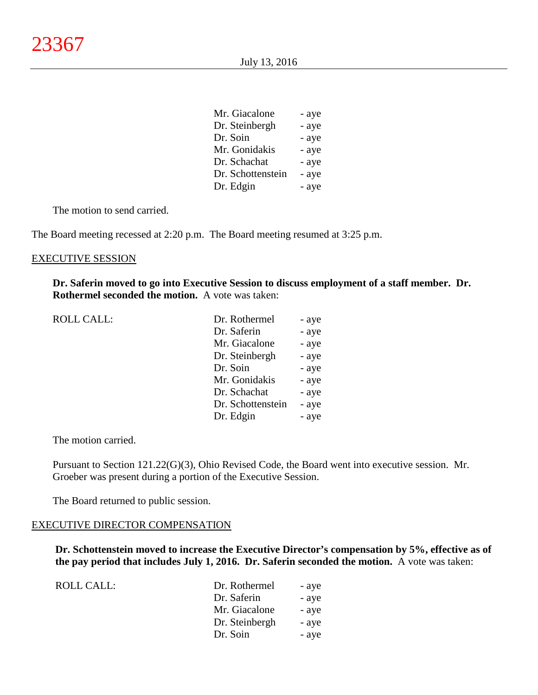| Mr. Giacalone     | - aye |
|-------------------|-------|
| Dr. Steinbergh    | - aye |
| Dr. Soin          | - aye |
| Mr. Gonidakis     | - aye |
| Dr. Schachat      | - aye |
| Dr. Schottenstein | - aye |
| Dr. Edgin         | - aye |

The motion to send carried.

The Board meeting recessed at 2:20 p.m. The Board meeting resumed at 3:25 p.m.

#### EXECUTIVE SESSION

**Dr. Saferin moved to go into Executive Session to discuss employment of a staff member. Dr. Rothermel seconded the motion.** A vote was taken:

| <b>ROLL CALL:</b> | Dr. Rothermel     | - aye |
|-------------------|-------------------|-------|
|                   | Dr. Saferin       | - aye |
|                   | Mr. Giacalone     | - aye |
|                   | Dr. Steinbergh    | - aye |
|                   | Dr. Soin          | - aye |
|                   | Mr. Gonidakis     | - aye |
|                   | Dr. Schachat      | - aye |
|                   | Dr. Schottenstein | - aye |
|                   | Dr. Edgin         | - aye |
|                   |                   |       |

The motion carried.

Pursuant to Section 121.22(G)(3), Ohio Revised Code, the Board went into executive session. Mr. Groeber was present during a portion of the Executive Session.

The Board returned to public session.

#### EXECUTIVE DIRECTOR COMPENSATION

**Dr. Schottenstein moved to increase the Executive Director's compensation by 5%, effective as of the pay period that includes July 1, 2016. Dr. Saferin seconded the motion.** A vote was taken:

| - aye |
|-------|
| - aye |
| - aye |
| - aye |
| - aye |
|       |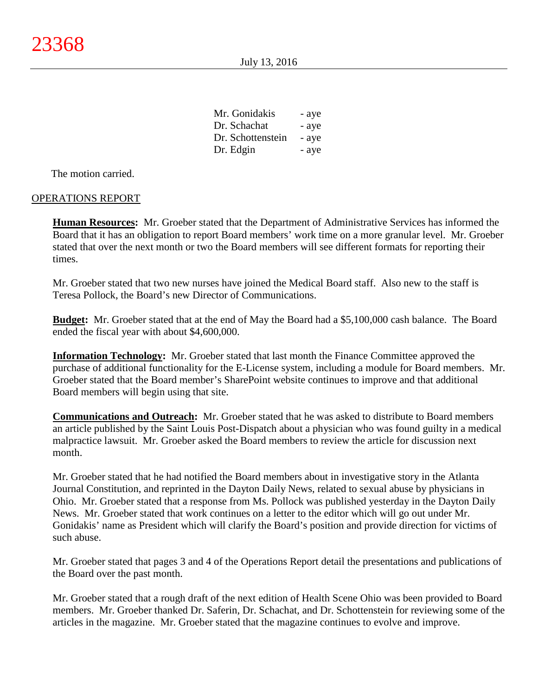| Mr. Gonidakis     | - aye |
|-------------------|-------|
| Dr. Schachat      | - aye |
| Dr. Schottenstein | - aye |
| Dr. Edgin         | - aye |

The motion carried.

#### OPERATIONS REPORT

**Human Resources:** Mr. Groeber stated that the Department of Administrative Services has informed the Board that it has an obligation to report Board members' work time on a more granular level. Mr. Groeber stated that over the next month or two the Board members will see different formats for reporting their times.

Mr. Groeber stated that two new nurses have joined the Medical Board staff. Also new to the staff is Teresa Pollock, the Board's new Director of Communications.

**Budget:** Mr. Groeber stated that at the end of May the Board had a \$5,100,000 cash balance. The Board ended the fiscal year with about \$4,600,000.

**Information Technology:** Mr. Groeber stated that last month the Finance Committee approved the purchase of additional functionality for the E-License system, including a module for Board members. Mr. Groeber stated that the Board member's SharePoint website continues to improve and that additional Board members will begin using that site.

**Communications and Outreach:** Mr. Groeber stated that he was asked to distribute to Board members an article published by the Saint Louis Post-Dispatch about a physician who was found guilty in a medical malpractice lawsuit. Mr. Groeber asked the Board members to review the article for discussion next month.

Mr. Groeber stated that he had notified the Board members about in investigative story in the Atlanta Journal Constitution, and reprinted in the Dayton Daily News, related to sexual abuse by physicians in Ohio. Mr. Groeber stated that a response from Ms. Pollock was published yesterday in the Dayton Daily News. Mr. Groeber stated that work continues on a letter to the editor which will go out under Mr. Gonidakis' name as President which will clarify the Board's position and provide direction for victims of such abuse.

Mr. Groeber stated that pages 3 and 4 of the Operations Report detail the presentations and publications of the Board over the past month.

Mr. Groeber stated that a rough draft of the next edition of Health Scene Ohio was been provided to Board members. Mr. Groeber thanked Dr. Saferin, Dr. Schachat, and Dr. Schottenstein for reviewing some of the articles in the magazine. Mr. Groeber stated that the magazine continues to evolve and improve.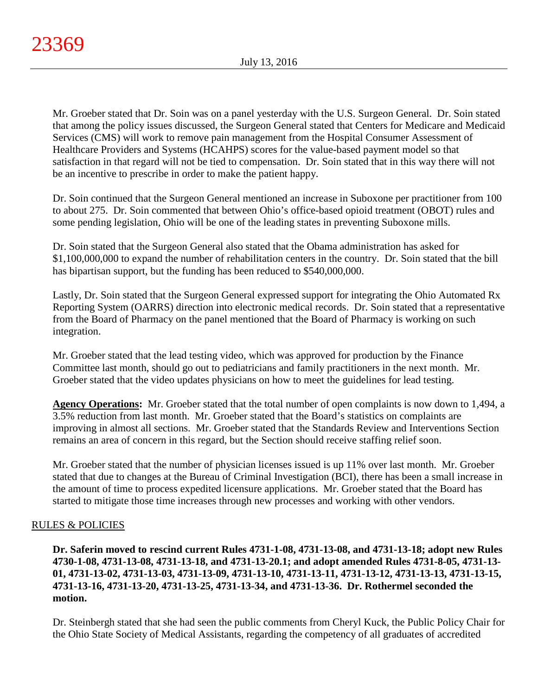Mr. Groeber stated that Dr. Soin was on a panel yesterday with the U.S. Surgeon General. Dr. Soin stated that among the policy issues discussed, the Surgeon General stated that Centers for Medicare and Medicaid Services (CMS) will work to remove pain management from the Hospital Consumer Assessment of Healthcare Providers and Systems (HCAHPS) scores for the value-based payment model so that satisfaction in that regard will not be tied to compensation. Dr. Soin stated that in this way there will not be an incentive to prescribe in order to make the patient happy.

Dr. Soin continued that the Surgeon General mentioned an increase in Suboxone per practitioner from 100 to about 275. Dr. Soin commented that between Ohio's office-based opioid treatment (OBOT) rules and some pending legislation, Ohio will be one of the leading states in preventing Suboxone mills.

Dr. Soin stated that the Surgeon General also stated that the Obama administration has asked for \$1,100,000,000 to expand the number of rehabilitation centers in the country. Dr. Soin stated that the bill has bipartisan support, but the funding has been reduced to \$540,000,000.

Lastly, Dr. Soin stated that the Surgeon General expressed support for integrating the Ohio Automated Rx Reporting System (OARRS) direction into electronic medical records. Dr. Soin stated that a representative from the Board of Pharmacy on the panel mentioned that the Board of Pharmacy is working on such integration.

Mr. Groeber stated that the lead testing video, which was approved for production by the Finance Committee last month, should go out to pediatricians and family practitioners in the next month. Mr. Groeber stated that the video updates physicians on how to meet the guidelines for lead testing.

**Agency Operations:** Mr. Groeber stated that the total number of open complaints is now down to 1,494, a 3.5% reduction from last month. Mr. Groeber stated that the Board's statistics on complaints are improving in almost all sections. Mr. Groeber stated that the Standards Review and Interventions Section remains an area of concern in this regard, but the Section should receive staffing relief soon.

Mr. Groeber stated that the number of physician licenses issued is up 11% over last month. Mr. Groeber stated that due to changes at the Bureau of Criminal Investigation (BCI), there has been a small increase in the amount of time to process expedited licensure applications. Mr. Groeber stated that the Board has started to mitigate those time increases through new processes and working with other vendors.

# RULES & POLICIES

**Dr. Saferin moved to rescind current Rules 4731-1-08, 4731-13-08, and 4731-13-18; adopt new Rules 4730-1-08, 4731-13-08, 4731-13-18, and 4731-13-20.1; and adopt amended Rules 4731-8-05, 4731-13- 01, 4731-13-02, 4731-13-03, 4731-13-09, 4731-13-10, 4731-13-11, 4731-13-12, 4731-13-13, 4731-13-15, 4731-13-16, 4731-13-20, 4731-13-25, 4731-13-34, and 4731-13-36. Dr. Rothermel seconded the motion.**

Dr. Steinbergh stated that she had seen the public comments from Cheryl Kuck, the Public Policy Chair for the Ohio State Society of Medical Assistants, regarding the competency of all graduates of accredited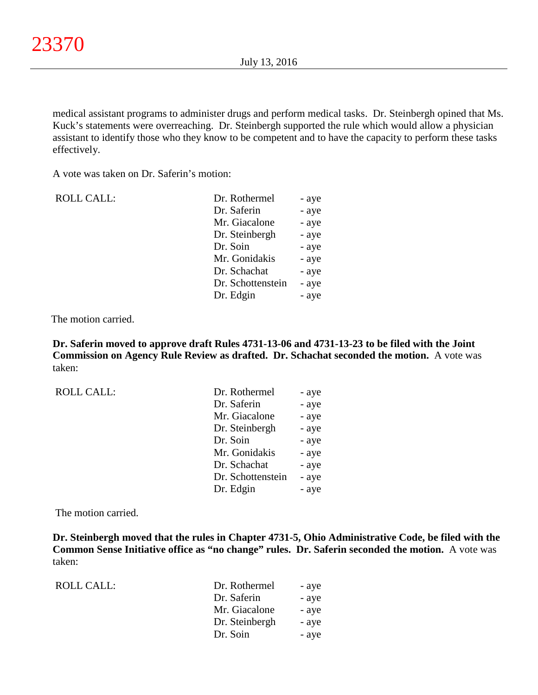medical assistant programs to administer drugs and perform medical tasks. Dr. Steinbergh opined that Ms. Kuck's statements were overreaching. Dr. Steinbergh supported the rule which would allow a physician assistant to identify those who they know to be competent and to have the capacity to perform these tasks effectively.

A vote was taken on Dr. Saferin's motion:

| <b>ROLL CALL:</b> | Dr. Rothermel     | - aye |
|-------------------|-------------------|-------|
|                   | Dr. Saferin       | - aye |
|                   | Mr. Giacalone     | - aye |
|                   | Dr. Steinbergh    | - aye |
|                   | Dr. Soin          | - aye |
|                   | Mr. Gonidakis     | - aye |
|                   | Dr. Schachat      | - aye |
|                   | Dr. Schottenstein | - aye |
|                   | Dr. Edgin         | - aye |
|                   |                   |       |

The motion carried.

**Dr. Saferin moved to approve draft Rules 4731-13-06 and 4731-13-23 to be filed with the Joint Commission on Agency Rule Review as drafted. Dr. Schachat seconded the motion.** A vote was taken:

| <b>ROLL CALL:</b> | Dr. Rothermel     | - aye |
|-------------------|-------------------|-------|
|                   | Dr. Saferin       | - aye |
|                   | Mr. Giacalone     | - aye |
|                   | Dr. Steinbergh    | - aye |
|                   | Dr. Soin          | - aye |
|                   | Mr. Gonidakis     | - aye |
|                   | Dr. Schachat      | - aye |
|                   | Dr. Schottenstein | - aye |
|                   | Dr. Edgin         | - aye |

The motion carried.

**Dr. Steinbergh moved that the rules in Chapter 4731-5, Ohio Administrative Code, be filed with the Common Sense Initiative office as "no change" rules. Dr. Saferin seconded the motion.** A vote was taken:

| ROLL CALL: | Dr. Rothermel  | - aye |
|------------|----------------|-------|
|            | Dr. Saferin    | - aye |
|            | Mr. Giacalone  | - aye |
|            | Dr. Steinbergh | - aye |
|            | Dr. Soin       | - aye |
|            |                |       |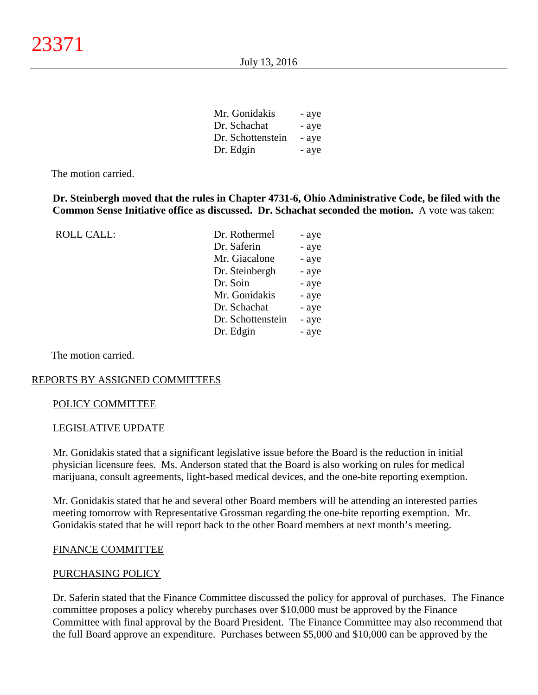| Mr. Gonidakis     | - aye |
|-------------------|-------|
| Dr. Schachat      | - aye |
| Dr. Schottenstein | - aye |
| Dr. Edgin         | - aye |

The motion carried.

**Dr. Steinbergh moved that the rules in Chapter 4731-6, Ohio Administrative Code, be filed with the Common Sense Initiative office as discussed. Dr. Schachat seconded the motion.** A vote was taken:

| <b>ROLL CALL:</b> | Dr. Rothermel     | - aye |
|-------------------|-------------------|-------|
|                   | Dr. Saferin       | - aye |
|                   | Mr. Giacalone     | - aye |
|                   | Dr. Steinbergh    | - aye |
|                   | Dr. Soin          | - aye |
|                   | Mr. Gonidakis     | - aye |
|                   | Dr. Schachat      | - aye |
|                   | Dr. Schottenstein | - aye |
|                   | Dr. Edgin         | - aye |
|                   |                   |       |

The motion carried.

#### REPORTS BY ASSIGNED COMMITTEES

#### POLICY COMMITTEE

#### LEGISLATIVE UPDATE

Mr. Gonidakis stated that a significant legislative issue before the Board is the reduction in initial physician licensure fees. Ms. Anderson stated that the Board is also working on rules for medical marijuana, consult agreements, light-based medical devices, and the one-bite reporting exemption.

Mr. Gonidakis stated that he and several other Board members will be attending an interested parties meeting tomorrow with Representative Grossman regarding the one-bite reporting exemption. Mr. Gonidakis stated that he will report back to the other Board members at next month's meeting.

#### FINANCE COMMITTEE

#### PURCHASING POLICY

Dr. Saferin stated that the Finance Committee discussed the policy for approval of purchases. The Finance committee proposes a policy whereby purchases over \$10,000 must be approved by the Finance Committee with final approval by the Board President. The Finance Committee may also recommend that the full Board approve an expenditure. Purchases between \$5,000 and \$10,000 can be approved by the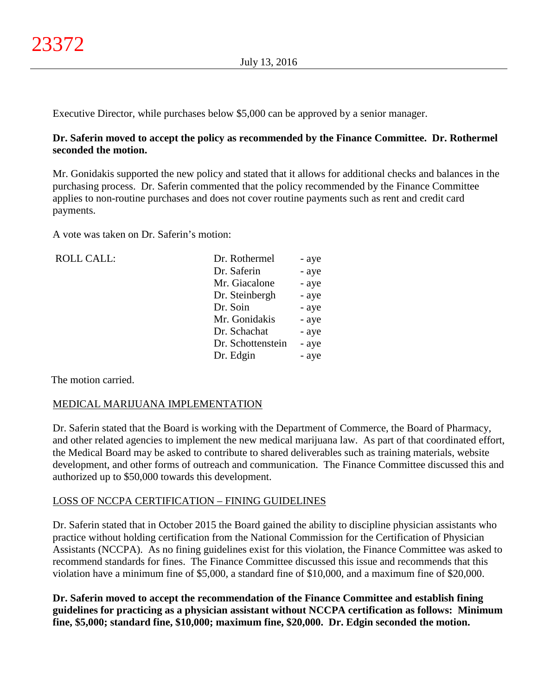Executive Director, while purchases below \$5,000 can be approved by a senior manager.

## **Dr. Saferin moved to accept the policy as recommended by the Finance Committee. Dr. Rothermel seconded the motion.**

Mr. Gonidakis supported the new policy and stated that it allows for additional checks and balances in the purchasing process. Dr. Saferin commented that the policy recommended by the Finance Committee applies to non-routine purchases and does not cover routine payments such as rent and credit card payments.

A vote was taken on Dr. Saferin's motion:

ROLL CALL:

| Dr. Rothermel     | - aye |
|-------------------|-------|
| Dr. Saferin       | - aye |
| Mr. Giacalone     | - aye |
| Dr. Steinbergh    | - aye |
| Dr. Soin          | - aye |
| Mr. Gonidakis     | - aye |
| Dr. Schachat      | - aye |
| Dr. Schottenstein | - aye |
| Dr. Edgin         | - aye |
|                   |       |

The motion carried.

## MEDICAL MARIJUANA IMPLEMENTATION

Dr. Saferin stated that the Board is working with the Department of Commerce, the Board of Pharmacy, and other related agencies to implement the new medical marijuana law. As part of that coordinated effort, the Medical Board may be asked to contribute to shared deliverables such as training materials, website development, and other forms of outreach and communication. The Finance Committee discussed this and authorized up to \$50,000 towards this development.

## LOSS OF NCCPA CERTIFICATION – FINING GUIDELINES

Dr. Saferin stated that in October 2015 the Board gained the ability to discipline physician assistants who practice without holding certification from the National Commission for the Certification of Physician Assistants (NCCPA). As no fining guidelines exist for this violation, the Finance Committee was asked to recommend standards for fines. The Finance Committee discussed this issue and recommends that this violation have a minimum fine of \$5,000, a standard fine of \$10,000, and a maximum fine of \$20,000.

**Dr. Saferin moved to accept the recommendation of the Finance Committee and establish fining guidelines for practicing as a physician assistant without NCCPA certification as follows: Minimum fine, \$5,000; standard fine, \$10,000; maximum fine, \$20,000. Dr. Edgin seconded the motion.**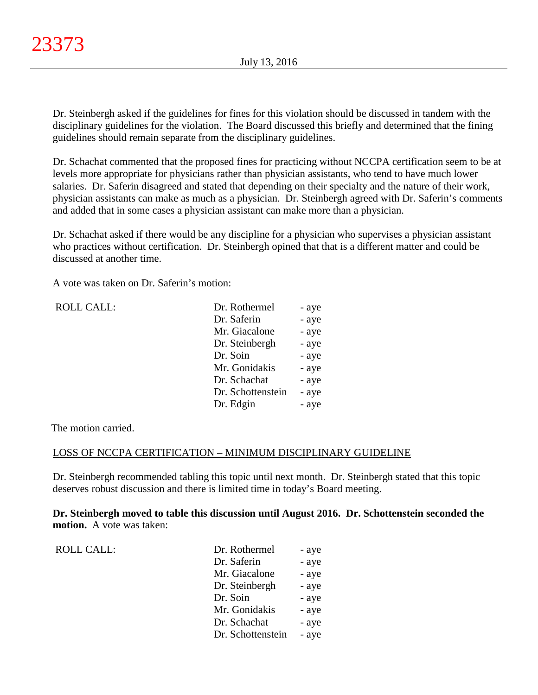Dr. Steinbergh asked if the guidelines for fines for this violation should be discussed in tandem with the disciplinary guidelines for the violation. The Board discussed this briefly and determined that the fining guidelines should remain separate from the disciplinary guidelines.

Dr. Schachat commented that the proposed fines for practicing without NCCPA certification seem to be at levels more appropriate for physicians rather than physician assistants, who tend to have much lower salaries. Dr. Saferin disagreed and stated that depending on their specialty and the nature of their work, physician assistants can make as much as a physician. Dr. Steinbergh agreed with Dr. Saferin's comments and added that in some cases a physician assistant can make more than a physician.

Dr. Schachat asked if there would be any discipline for a physician who supervises a physician assistant who practices without certification. Dr. Steinbergh opined that that is a different matter and could be discussed at another time.

A vote was taken on Dr. Saferin's motion:

| <b>ROLL CALL:</b> | Dr. Rothermel     | - aye |
|-------------------|-------------------|-------|
|                   | Dr. Saferin       | - aye |
|                   | Mr. Giacalone     | - aye |
|                   | Dr. Steinbergh    | - aye |
|                   | Dr. Soin          | - aye |
|                   | Mr. Gonidakis     | - aye |
|                   | Dr. Schachat      | - aye |
|                   | Dr. Schottenstein | - aye |
|                   | Dr. Edgin         | - aye |
|                   |                   |       |

The motion carried.

#### LOSS OF NCCPA CERTIFICATION – MINIMUM DISCIPLINARY GUIDELINE

Dr. Steinbergh recommended tabling this topic until next month. Dr. Steinbergh stated that this topic deserves robust discussion and there is limited time in today's Board meeting.

**Dr. Steinbergh moved to table this discussion until August 2016. Dr. Schottenstein seconded the motion.** A vote was taken:

| <b>ROLL CALL:</b> | Dr. Rothermel     | - aye |
|-------------------|-------------------|-------|
|                   | Dr. Saferin       | - aye |
|                   | Mr. Giacalone     | - aye |
|                   | Dr. Steinbergh    | - aye |
|                   | Dr. Soin          | - aye |
|                   | Mr. Gonidakis     | - aye |
|                   | Dr. Schachat      | - aye |
|                   | Dr. Schottenstein | - aye |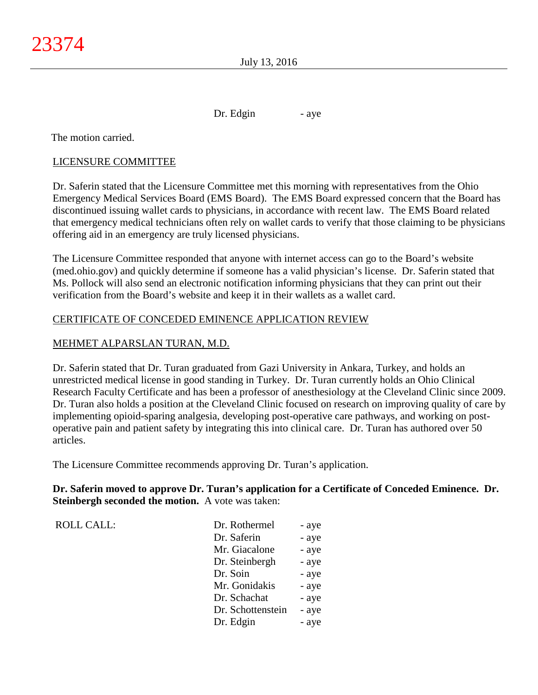Dr. Edgin - aye

The motion carried.

# LICENSURE COMMITTEE

Dr. Saferin stated that the Licensure Committee met this morning with representatives from the Ohio Emergency Medical Services Board (EMS Board). The EMS Board expressed concern that the Board has discontinued issuing wallet cards to physicians, in accordance with recent law. The EMS Board related that emergency medical technicians often rely on wallet cards to verify that those claiming to be physicians offering aid in an emergency are truly licensed physicians.

The Licensure Committee responded that anyone with internet access can go to the Board's website (med.ohio.gov) and quickly determine if someone has a valid physician's license. Dr. Saferin stated that Ms. Pollock will also send an electronic notification informing physicians that they can print out their verification from the Board's website and keep it in their wallets as a wallet card.

## CERTIFICATE OF CONCEDED EMINENCE APPLICATION REVIEW

# MEHMET ALPARSLAN TURAN, M.D.

Dr. Saferin stated that Dr. Turan graduated from Gazi University in Ankara, Turkey, and holds an unrestricted medical license in good standing in Turkey. Dr. Turan currently holds an Ohio Clinical Research Faculty Certificate and has been a professor of anesthesiology at the Cleveland Clinic since 2009. Dr. Turan also holds a position at the Cleveland Clinic focused on research on improving quality of care by implementing opioid-sparing analgesia, developing post-operative care pathways, and working on postoperative pain and patient safety by integrating this into clinical care. Dr. Turan has authored over 50 articles.

The Licensure Committee recommends approving Dr. Turan's application.

**Dr. Saferin moved to approve Dr. Turan's application for a Certificate of Conceded Eminence. Dr. Steinbergh seconded the motion.** A vote was taken:

ROLL CALL:

| Dr. Rothermel     | - aye |
|-------------------|-------|
| Dr. Saferin       | - aye |
| Mr. Giacalone     | - aye |
| Dr. Steinbergh    | - aye |
| Dr. Soin          | - aye |
| Mr. Gonidakis     | - aye |
| Dr. Schachat      | - aye |
| Dr. Schottenstein | - aye |
| Dr. Edgin         | - aye |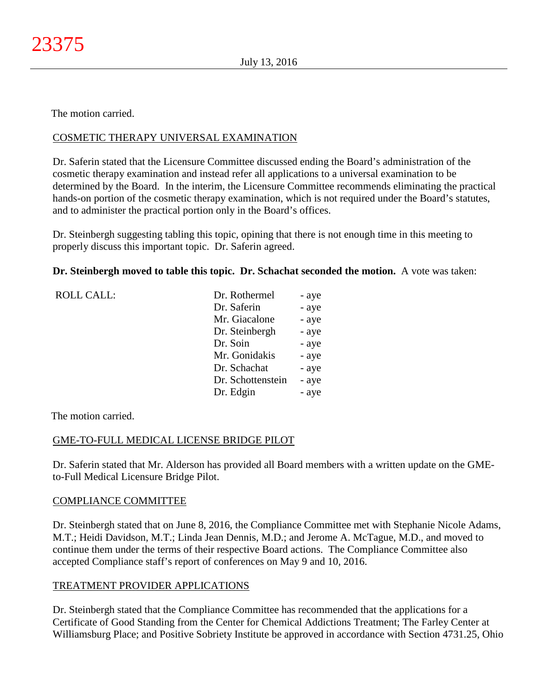The motion carried.

# COSMETIC THERAPY UNIVERSAL EXAMINATION

Dr. Saferin stated that the Licensure Committee discussed ending the Board's administration of the cosmetic therapy examination and instead refer all applications to a universal examination to be determined by the Board. In the interim, the Licensure Committee recommends eliminating the practical hands-on portion of the cosmetic therapy examination, which is not required under the Board's statutes, and to administer the practical portion only in the Board's offices.

Dr. Steinbergh suggesting tabling this topic, opining that there is not enough time in this meeting to properly discuss this important topic. Dr. Saferin agreed.

**Dr. Steinbergh moved to table this topic. Dr. Schachat seconded the motion.** A vote was taken:

| <b>ROLL CALL:</b> | Dr. Rothermel     | - aye |
|-------------------|-------------------|-------|
|                   | Dr. Saferin       | - aye |
|                   | Mr. Giacalone     | - aye |
|                   | Dr. Steinbergh    | - aye |
|                   | Dr. Soin          | - aye |
|                   | Mr. Gonidakis     | - aye |
|                   | Dr. Schachat      | - aye |
|                   | Dr. Schottenstein | - aye |
|                   | Dr. Edgin         | - aye |
|                   |                   |       |

The motion carried.

# GME-TO-FULL MEDICAL LICENSE BRIDGE PILOT

Dr. Saferin stated that Mr. Alderson has provided all Board members with a written update on the GMEto-Full Medical Licensure Bridge Pilot.

# COMPLIANCE COMMITTEE

Dr. Steinbergh stated that on June 8, 2016, the Compliance Committee met with Stephanie Nicole Adams, M.T.; Heidi Davidson, M.T.; Linda Jean Dennis, M.D.; and Jerome A. McTague, M.D., and moved to continue them under the terms of their respective Board actions. The Compliance Committee also accepted Compliance staff's report of conferences on May 9 and 10, 2016.

# TREATMENT PROVIDER APPLICATIONS

Dr. Steinbergh stated that the Compliance Committee has recommended that the applications for a Certificate of Good Standing from the Center for Chemical Addictions Treatment; The Farley Center at Williamsburg Place; and Positive Sobriety Institute be approved in accordance with Section 4731.25, Ohio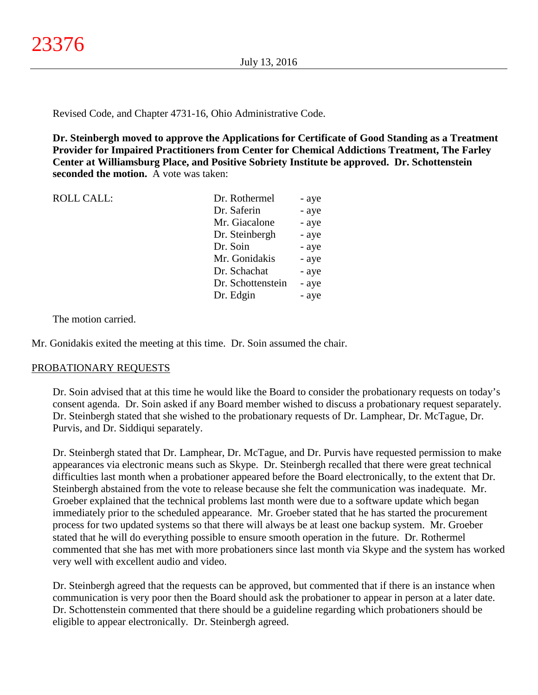Revised Code, and Chapter 4731-16, Ohio Administrative Code.

**Dr. Steinbergh moved to approve the Applications for Certificate of Good Standing as a Treatment Provider for Impaired Practitioners from Center for Chemical Addictions Treatment, The Farley Center at Williamsburg Place, and Positive Sobriety Institute be approved. Dr. Schottenstein seconded the motion.** A vote was taken:

| <b>ROLL CALL:</b> | Dr. Rothermel     | - aye |
|-------------------|-------------------|-------|
|                   | Dr. Saferin       | - aye |
|                   | Mr. Giacalone     | - aye |
|                   | Dr. Steinbergh    | - aye |
|                   | Dr. Soin          | - aye |
|                   | Mr. Gonidakis     | - aye |
|                   | Dr. Schachat      | - aye |
|                   | Dr. Schottenstein | - aye |
|                   | Dr. Edgin         | - aye |
|                   |                   |       |

The motion carried.

Mr. Gonidakis exited the meeting at this time. Dr. Soin assumed the chair.

#### PROBATIONARY REQUESTS

Dr. Soin advised that at this time he would like the Board to consider the probationary requests on today's consent agenda. Dr. Soin asked if any Board member wished to discuss a probationary request separately. Dr. Steinbergh stated that she wished to the probationary requests of Dr. Lamphear, Dr. McTague, Dr. Purvis, and Dr. Siddiqui separately.

Dr. Steinbergh stated that Dr. Lamphear, Dr. McTague, and Dr. Purvis have requested permission to make appearances via electronic means such as Skype. Dr. Steinbergh recalled that there were great technical difficulties last month when a probationer appeared before the Board electronically, to the extent that Dr. Steinbergh abstained from the vote to release because she felt the communication was inadequate. Mr. Groeber explained that the technical problems last month were due to a software update which began immediately prior to the scheduled appearance. Mr. Groeber stated that he has started the procurement process for two updated systems so that there will always be at least one backup system. Mr. Groeber stated that he will do everything possible to ensure smooth operation in the future. Dr. Rothermel commented that she has met with more probationers since last month via Skype and the system has worked very well with excellent audio and video.

Dr. Steinbergh agreed that the requests can be approved, but commented that if there is an instance when communication is very poor then the Board should ask the probationer to appear in person at a later date. Dr. Schottenstein commented that there should be a guideline regarding which probationers should be eligible to appear electronically. Dr. Steinbergh agreed.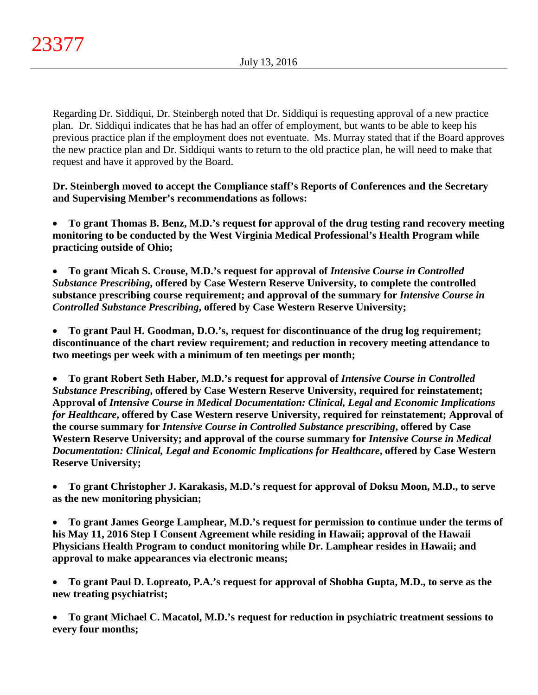Regarding Dr. Siddiqui, Dr. Steinbergh noted that Dr. Siddiqui is requesting approval of a new practice plan. Dr. Siddiqui indicates that he has had an offer of employment, but wants to be able to keep his previous practice plan if the employment does not eventuate. Ms. Murray stated that if the Board approves the new practice plan and Dr. Siddiqui wants to return to the old practice plan, he will need to make that request and have it approved by the Board.

**Dr. Steinbergh moved to accept the Compliance staff's Reports of Conferences and the Secretary and Supervising Member's recommendations as follows:**

• **To grant Thomas B. Benz, M.D.'s request for approval of the drug testing rand recovery meeting monitoring to be conducted by the West Virginia Medical Professional's Health Program while practicing outside of Ohio;**

• **To grant Micah S. Crouse, M.D.'s request for approval of** *Intensive Course in Controlled Substance Prescribing***, offered by Case Western Reserve University, to complete the controlled substance prescribing course requirement; and approval of the summary for** *Intensive Course in Controlled Substance Prescribing***, offered by Case Western Reserve University;**

• **To grant Paul H. Goodman, D.O.'s, request for discontinuance of the drug log requirement; discontinuance of the chart review requirement; and reduction in recovery meeting attendance to two meetings per week with a minimum of ten meetings per month;**

• **To grant Robert Seth Haber, M.D.'s request for approval of** *Intensive Course in Controlled Substance Prescribing***, offered by Case Western Reserve University, required for reinstatement; Approval of** *Intensive Course in Medical Documentation: Clinical, Legal and Economic Implications for Healthcare***, offered by Case Western reserve University, required for reinstatement; Approval of the course summary for** *Intensive Course in Controlled Substance prescribing***, offered by Case Western Reserve University; and approval of the course summary for** *Intensive Course in Medical Documentation: Clinical, Legal and Economic Implications for Healthcare***, offered by Case Western Reserve University;**

• **To grant Christopher J. Karakasis, M.D.'s request for approval of Doksu Moon, M.D., to serve as the new monitoring physician;**

• **To grant James George Lamphear, M.D.'s request for permission to continue under the terms of his May 11, 2016 Step I Consent Agreement while residing in Hawaii; approval of the Hawaii Physicians Health Program to conduct monitoring while Dr. Lamphear resides in Hawaii; and approval to make appearances via electronic means;**

• **To grant Paul D. Lopreato, P.A.'s request for approval of Shobha Gupta, M.D., to serve as the new treating psychiatrist;**

• **To grant Michael C. Macatol, M.D.'s request for reduction in psychiatric treatment sessions to every four months;**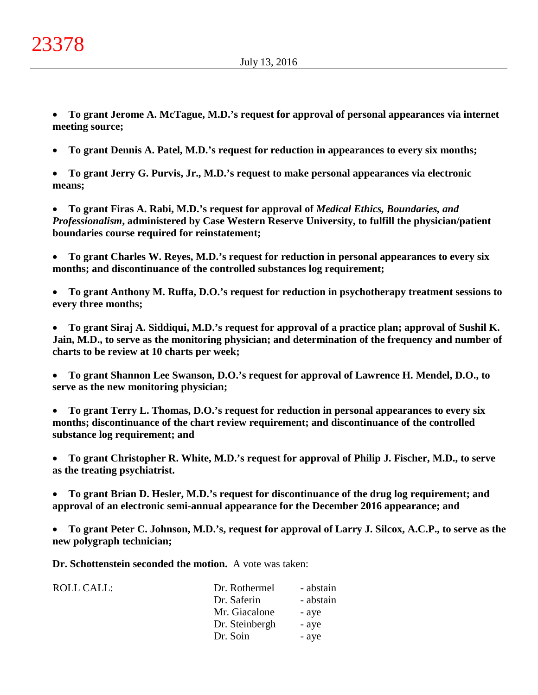• **To grant Jerome A. McTague, M.D.'s request for approval of personal appearances via internet meeting source;**

• **To grant Dennis A. Patel, M.D.'s request for reduction in appearances to every six months;**

• **To grant Jerry G. Purvis, Jr., M.D.'s request to make personal appearances via electronic means;**

• **To grant Firas A. Rabi, M.D.'s request for approval of** *Medical Ethics, Boundaries, and Professionalism***, administered by Case Western Reserve University, to fulfill the physician/patient boundaries course required for reinstatement;**

• **To grant Charles W. Reyes, M.D.'s request for reduction in personal appearances to every six months; and discontinuance of the controlled substances log requirement;**

• **To grant Anthony M. Ruffa, D.O.'s request for reduction in psychotherapy treatment sessions to every three months;**

• **To grant Siraj A. Siddiqui, M.D.'s request for approval of a practice plan; approval of Sushil K. Jain, M.D., to serve as the monitoring physician; and determination of the frequency and number of charts to be review at 10 charts per week;**

• **To grant Shannon Lee Swanson, D.O.'s request for approval of Lawrence H. Mendel, D.O., to serve as the new monitoring physician;**

• **To grant Terry L. Thomas, D.O.'s request for reduction in personal appearances to every six months; discontinuance of the chart review requirement; and discontinuance of the controlled substance log requirement; and**

• **To grant Christopher R. White, M.D.'s request for approval of Philip J. Fischer, M.D., to serve as the treating psychiatrist.**

• **To grant Brian D. Hesler, M.D.'s request for discontinuance of the drug log requirement; and approval of an electronic semi-annual appearance for the December 2016 appearance; and**

• **To grant Peter C. Johnson, M.D.'s, request for approval of Larry J. Silcox, A.C.P., to serve as the new polygraph technician;**

**Dr. Schottenstein seconded the motion.** A vote was taken:

| ROLL CALL: | Dr. Rothermel  | - abstain |
|------------|----------------|-----------|
|            | Dr. Saferin    | - abstain |
|            | Mr. Giacalone  | - aye     |
|            | Dr. Steinbergh | - aye     |
|            | Dr. Soin       | - aye     |
|            |                |           |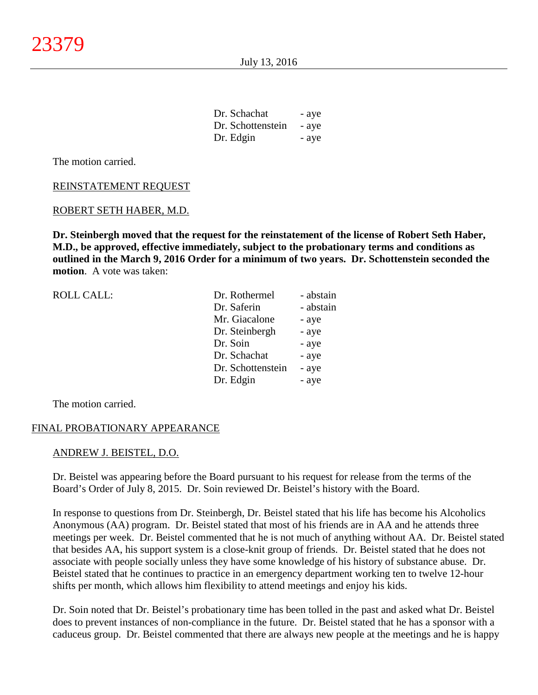| Dr. Schachat      | - aye |
|-------------------|-------|
| Dr. Schottenstein | - aye |
| Dr. Edgin         | - aye |

The motion carried.

#### REINSTATEMENT REQUEST

#### ROBERT SETH HABER, M.D.

**Dr. Steinbergh moved that the request for the reinstatement of the license of Robert Seth Haber, M.D., be approved, effective immediately, subject to the probationary terms and conditions as outlined in the March 9, 2016 Order for a minimum of two years. Dr. Schottenstein seconded the motion**. A vote was taken:

| <b>ROLL CALL:</b> | Dr. Rothermel     | - abstain |
|-------------------|-------------------|-----------|
|                   | Dr. Saferin       | - abstain |
|                   | Mr. Giacalone     | - aye     |
|                   | Dr. Steinbergh    | - aye     |
|                   | Dr. Soin          | - aye     |
|                   | Dr. Schachat      | - aye     |
|                   | Dr. Schottenstein | - aye     |
|                   | Dr. Edgin         | - aye     |
|                   |                   |           |

The motion carried.

#### FINAL PROBATIONARY APPEARANCE

#### ANDREW J. BEISTEL, D.O.

Dr. Beistel was appearing before the Board pursuant to his request for release from the terms of the Board's Order of July 8, 2015. Dr. Soin reviewed Dr. Beistel's history with the Board.

In response to questions from Dr. Steinbergh, Dr. Beistel stated that his life has become his Alcoholics Anonymous (AA) program. Dr. Beistel stated that most of his friends are in AA and he attends three meetings per week. Dr. Beistel commented that he is not much of anything without AA. Dr. Beistel stated that besides AA, his support system is a close-knit group of friends. Dr. Beistel stated that he does not associate with people socially unless they have some knowledge of his history of substance abuse. Dr. Beistel stated that he continues to practice in an emergency department working ten to twelve 12-hour shifts per month, which allows him flexibility to attend meetings and enjoy his kids.

Dr. Soin noted that Dr. Beistel's probationary time has been tolled in the past and asked what Dr. Beistel does to prevent instances of non-compliance in the future. Dr. Beistel stated that he has a sponsor with a caduceus group. Dr. Beistel commented that there are always new people at the meetings and he is happy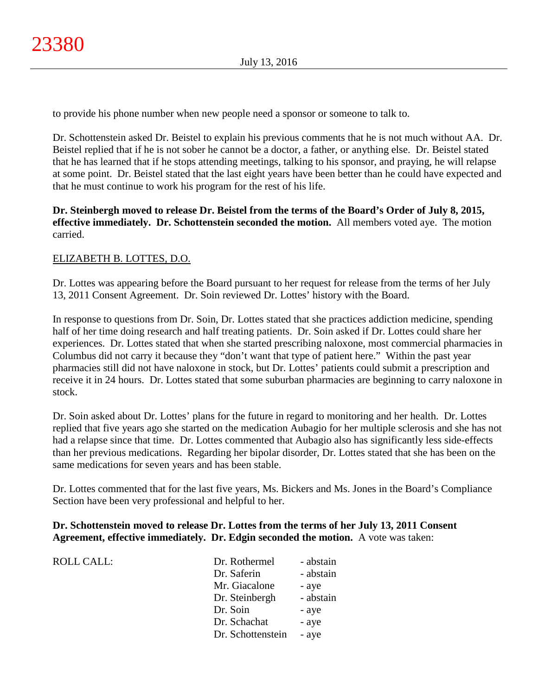to provide his phone number when new people need a sponsor or someone to talk to.

Dr. Schottenstein asked Dr. Beistel to explain his previous comments that he is not much without AA. Dr. Beistel replied that if he is not sober he cannot be a doctor, a father, or anything else. Dr. Beistel stated that he has learned that if he stops attending meetings, talking to his sponsor, and praying, he will relapse at some point. Dr. Beistel stated that the last eight years have been better than he could have expected and that he must continue to work his program for the rest of his life.

**Dr. Steinbergh moved to release Dr. Beistel from the terms of the Board's Order of July 8, 2015, effective immediately. Dr. Schottenstein seconded the motion.** All members voted aye. The motion carried.

# ELIZABETH B. LOTTES, D.O.

 $ROLL CALL$ :

Dr. Lottes was appearing before the Board pursuant to her request for release from the terms of her July 13, 2011 Consent Agreement. Dr. Soin reviewed Dr. Lottes' history with the Board.

In response to questions from Dr. Soin, Dr. Lottes stated that she practices addiction medicine, spending half of her time doing research and half treating patients. Dr. Soin asked if Dr. Lottes could share her experiences. Dr. Lottes stated that when she started prescribing naloxone, most commercial pharmacies in Columbus did not carry it because they "don't want that type of patient here." Within the past year pharmacies still did not have naloxone in stock, but Dr. Lottes' patients could submit a prescription and receive it in 24 hours. Dr. Lottes stated that some suburban pharmacies are beginning to carry naloxone in stock.

Dr. Soin asked about Dr. Lottes' plans for the future in regard to monitoring and her health. Dr. Lottes replied that five years ago she started on the medication Aubagio for her multiple sclerosis and she has not had a relapse since that time. Dr. Lottes commented that Aubagio also has significantly less side-effects than her previous medications. Regarding her bipolar disorder, Dr. Lottes stated that she has been on the same medications for seven years and has been stable.

Dr. Lottes commented that for the last five years, Ms. Bickers and Ms. Jones in the Board's Compliance Section have been very professional and helpful to her.

# **Dr. Schottenstein moved to release Dr. Lottes from the terms of her July 13, 2011 Consent Agreement, effective immediately. Dr. Edgin seconded the motion.** A vote was taken:

| Dr. Rothermel     | - abstain |
|-------------------|-----------|
| Dr. Saferin       | - abstain |
| Mr. Giacalone     | - aye     |
| Dr. Steinbergh    | - abstain |
| Dr. Soin          | - aye     |
| Dr. Schachat      | - aye     |
| Dr. Schottenstein | - aye     |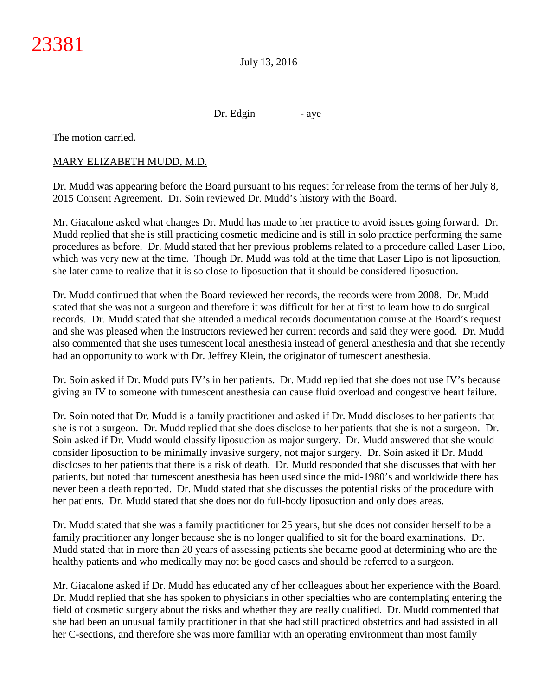July 13, 2016

Dr. Edgin - aye

The motion carried.

#### MARY ELIZABETH MUDD, M.D.

Dr. Mudd was appearing before the Board pursuant to his request for release from the terms of her July 8, 2015 Consent Agreement. Dr. Soin reviewed Dr. Mudd's history with the Board.

Mr. Giacalone asked what changes Dr. Mudd has made to her practice to avoid issues going forward. Dr. Mudd replied that she is still practicing cosmetic medicine and is still in solo practice performing the same procedures as before. Dr. Mudd stated that her previous problems related to a procedure called Laser Lipo, which was very new at the time. Though Dr. Mudd was told at the time that Laser Lipo is not liposuction, she later came to realize that it is so close to liposuction that it should be considered liposuction.

Dr. Mudd continued that when the Board reviewed her records, the records were from 2008. Dr. Mudd stated that she was not a surgeon and therefore it was difficult for her at first to learn how to do surgical records. Dr. Mudd stated that she attended a medical records documentation course at the Board's request and she was pleased when the instructors reviewed her current records and said they were good. Dr. Mudd also commented that she uses tumescent local anesthesia instead of general anesthesia and that she recently had an opportunity to work with Dr. Jeffrey Klein, the originator of tumescent anesthesia.

Dr. Soin asked if Dr. Mudd puts IV's in her patients. Dr. Mudd replied that she does not use IV's because giving an IV to someone with tumescent anesthesia can cause fluid overload and congestive heart failure.

Dr. Soin noted that Dr. Mudd is a family practitioner and asked if Dr. Mudd discloses to her patients that she is not a surgeon. Dr. Mudd replied that she does disclose to her patients that she is not a surgeon. Dr. Soin asked if Dr. Mudd would classify liposuction as major surgery. Dr. Mudd answered that she would consider liposuction to be minimally invasive surgery, not major surgery. Dr. Soin asked if Dr. Mudd discloses to her patients that there is a risk of death. Dr. Mudd responded that she discusses that with her patients, but noted that tumescent anesthesia has been used since the mid-1980's and worldwide there has never been a death reported. Dr. Mudd stated that she discusses the potential risks of the procedure with her patients. Dr. Mudd stated that she does not do full-body liposuction and only does areas.

Dr. Mudd stated that she was a family practitioner for 25 years, but she does not consider herself to be a family practitioner any longer because she is no longer qualified to sit for the board examinations. Dr. Mudd stated that in more than 20 years of assessing patients she became good at determining who are the healthy patients and who medically may not be good cases and should be referred to a surgeon.

Mr. Giacalone asked if Dr. Mudd has educated any of her colleagues about her experience with the Board. Dr. Mudd replied that she has spoken to physicians in other specialties who are contemplating entering the field of cosmetic surgery about the risks and whether they are really qualified. Dr. Mudd commented that she had been an unusual family practitioner in that she had still practiced obstetrics and had assisted in all her C-sections, and therefore she was more familiar with an operating environment than most family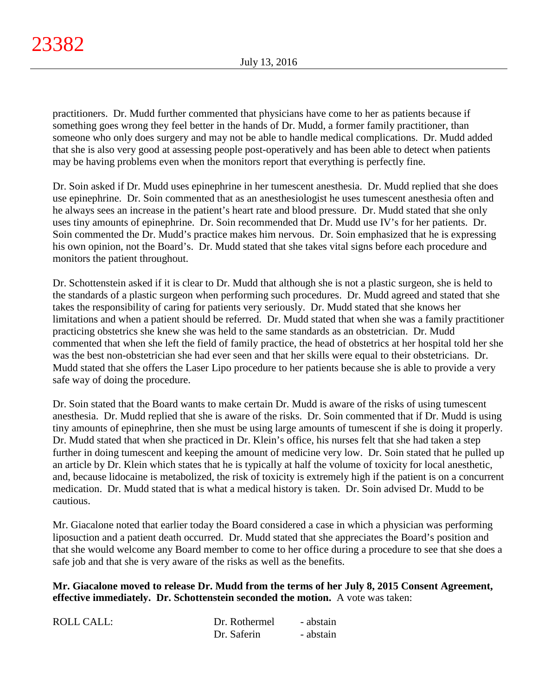practitioners. Dr. Mudd further commented that physicians have come to her as patients because if something goes wrong they feel better in the hands of Dr. Mudd, a former family practitioner, than someone who only does surgery and may not be able to handle medical complications. Dr. Mudd added that she is also very good at assessing people post-operatively and has been able to detect when patients may be having problems even when the monitors report that everything is perfectly fine.

Dr. Soin asked if Dr. Mudd uses epinephrine in her tumescent anesthesia. Dr. Mudd replied that she does use epinephrine. Dr. Soin commented that as an anesthesiologist he uses tumescent anesthesia often and he always sees an increase in the patient's heart rate and blood pressure. Dr. Mudd stated that she only uses tiny amounts of epinephrine. Dr. Soin recommended that Dr. Mudd use IV's for her patients. Dr. Soin commented the Dr. Mudd's practice makes him nervous. Dr. Soin emphasized that he is expressing his own opinion, not the Board's. Dr. Mudd stated that she takes vital signs before each procedure and monitors the patient throughout.

Dr. Schottenstein asked if it is clear to Dr. Mudd that although she is not a plastic surgeon, she is held to the standards of a plastic surgeon when performing such procedures. Dr. Mudd agreed and stated that she takes the responsibility of caring for patients very seriously. Dr. Mudd stated that she knows her limitations and when a patient should be referred. Dr. Mudd stated that when she was a family practitioner practicing obstetrics she knew she was held to the same standards as an obstetrician. Dr. Mudd commented that when she left the field of family practice, the head of obstetrics at her hospital told her she was the best non-obstetrician she had ever seen and that her skills were equal to their obstetricians. Dr. Mudd stated that she offers the Laser Lipo procedure to her patients because she is able to provide a very safe way of doing the procedure.

Dr. Soin stated that the Board wants to make certain Dr. Mudd is aware of the risks of using tumescent anesthesia. Dr. Mudd replied that she is aware of the risks. Dr. Soin commented that if Dr. Mudd is using tiny amounts of epinephrine, then she must be using large amounts of tumescent if she is doing it properly. Dr. Mudd stated that when she practiced in Dr. Klein's office, his nurses felt that she had taken a step further in doing tumescent and keeping the amount of medicine very low. Dr. Soin stated that he pulled up an article by Dr. Klein which states that he is typically at half the volume of toxicity for local anesthetic, and, because lidocaine is metabolized, the risk of toxicity is extremely high if the patient is on a concurrent medication. Dr. Mudd stated that is what a medical history is taken. Dr. Soin advised Dr. Mudd to be cautious.

Mr. Giacalone noted that earlier today the Board considered a case in which a physician was performing liposuction and a patient death occurred. Dr. Mudd stated that she appreciates the Board's position and that she would welcome any Board member to come to her office during a procedure to see that she does a safe job and that she is very aware of the risks as well as the benefits.

**Mr. Giacalone moved to release Dr. Mudd from the terms of her July 8, 2015 Consent Agreement, effective immediately. Dr. Schottenstein seconded the motion.** A vote was taken:

| <b>ROLL CALL:</b> | Dr. Rothermel | - abstain |
|-------------------|---------------|-----------|
|                   | Dr. Saferin   | - abstain |